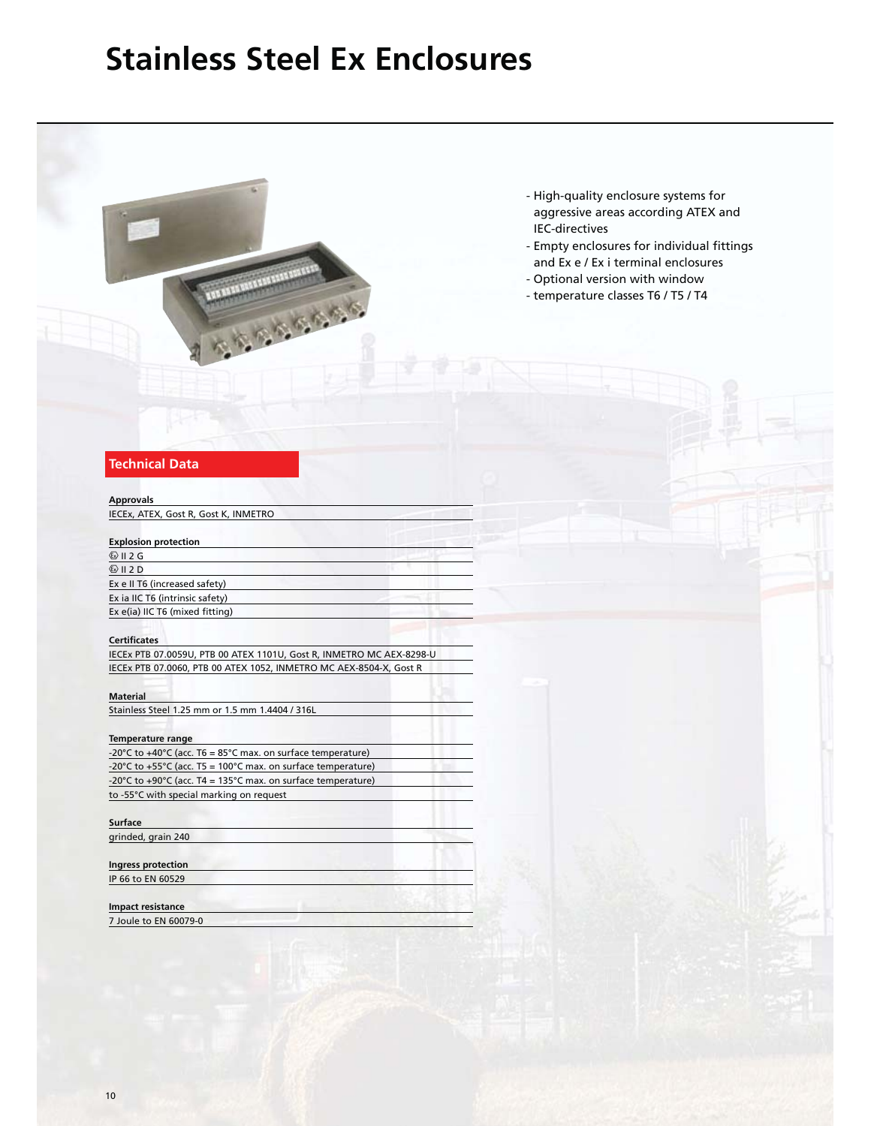## **Stainless Steel Ex Enclosures**

- High-quality enclosure systems for aggressive areas according ATEX and IEC-directives
- Empty enclosures for individual fittings and Ex e / Ex i terminal enclosures
- Optional version with window
- temperature classes T6 / T5 / T4

## **Technical Data**

| <b>Approvals</b>                     |  |
|--------------------------------------|--|
| IECEx, ATEX, Gost R, Gost K, INMETRO |  |
|                                      |  |
| <b>Explosion protection</b>          |  |
| $\otimes$ II 2 G                     |  |
| $\otimes$ II 2 D                     |  |
| Ex e II T6 (increased safety)        |  |
| Ex ia IIC T6 (intrinsic safety)      |  |
| Ex e(ia) IIC T6 (mixed fitting)      |  |

Manuscription

### **Certificates**

IECEx PTB 07.0059U, PTB 00 ATEX 1101U, Gost R, INMETRO MC AEX-8298-U IECEx PTB 07.0060, PTB 00 ATEX 1052, INMETRO MC AEX-8504-X, Gost R

### **Material**

Stainless Steel 1.25 mm or 1.5 mm 1.4404 / 316L

#### **Temperature range**

| -20 $\degree$ C to +40 $\degree$ C (acc. T6 = 85 $\degree$ C max. on surface temperature)  |  |
|--------------------------------------------------------------------------------------------|--|
| -20 $\degree$ C to +55 $\degree$ C (acc. T5 = 100 $\degree$ C max. on surface temperature) |  |
| -20 $\degree$ C to +90 $\degree$ C (acc. T4 = 135 $\degree$ C max. on surface temperature) |  |
| to -55°C with special marking on request                                                   |  |
|                                                                                            |  |

### **Surface**

| grinded, grain 240 |  |  |
|--------------------|--|--|
|                    |  |  |
| Ingress protection |  |  |

### **Impact resistance**

IP 66 to EN 60529

7 Joule to EN 60079-0

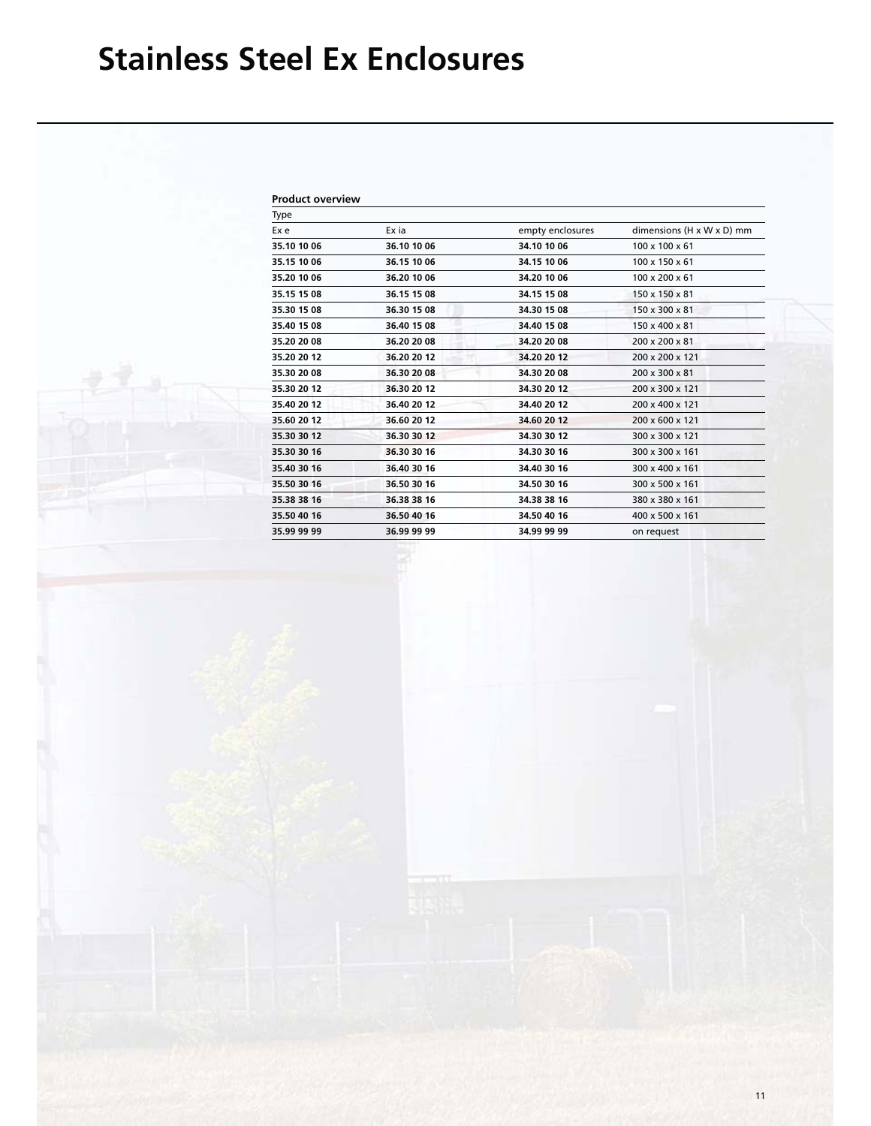# **Stainless Steel Ex Enclosures**

| <b>Product overview</b> |             |                  |                           |
|-------------------------|-------------|------------------|---------------------------|
| Type                    |             |                  |                           |
| Ex e                    | Ex ia       | empty enclosures | dimensions (H x W x D) mm |
| 35.10 10 06             | 36.10 10 06 | 34.10 10 06      | 100 x 100 x 61            |
| 35.15 10 06             | 36.15 10 06 | 34.15 10 06      | 100 x 150 x 61            |
| 35.20 10 06             | 36.20 10 06 | 34.20 10 06      | 100 x 200 x 61            |
| 35.15 15 08             | 36.15 15 08 | 34.15 15 08      | 150 x 150 x 81            |
| 35.30 15 08             | 36.30 15 08 | 34.30 15 08      | 150 x 300 x 81            |
| 35.40 15 08             | 36.40 15 08 | 34.40 15 08      | 150 x 400 x 81            |
| 35.20 20 08             | 36.20 20 08 | 34.20 20 08      | 200 x 200 x 81            |
| 35.20 20 12             | 36.20 20 12 | 34.20 20 12      | 200 x 200 x 121           |
| 35.30 20 08             | 36.30 20 08 | 34.30 20 08      | 200 x 300 x 81            |
| 35.30 20 12             | 36.30 20 12 | 34.30 20 12      | 200 x 300 x 121           |
| 35.40 20 12             | 36.40 20 12 | 34.40 20 12      | 200 x 400 x 121           |
| 35.60 20 12             | 36.60 20 12 | 34.60 20 12      | 200 x 600 x 121           |
| 35.30 30 12             | 36.30 30 12 | 34.30 30 12      | 300 x 300 x 121           |
| 35.30 30 16             | 36.30 30 16 | 34.30 30 16      | 300 x 300 x 161           |
| 35.40 30 16             | 36.40 30 16 | 34.40 30 16      | 300 x 400 x 161           |
| 35.50 30 16             | 36.50 30 16 | 34.50 30 16      | 300 x 500 x 161           |
| 35.38 38 16             | 36.38 38 16 | 34.38 38 16      | 380 x 380 x 161           |
| 35.50 40 16             | 36.50 40 16 | 34.50 40 16      | 400 x 500 x 161           |
| 35.99 99 99             | 36.99 99 99 | 34.99 99 99      | on request                |
|                         |             |                  |                           |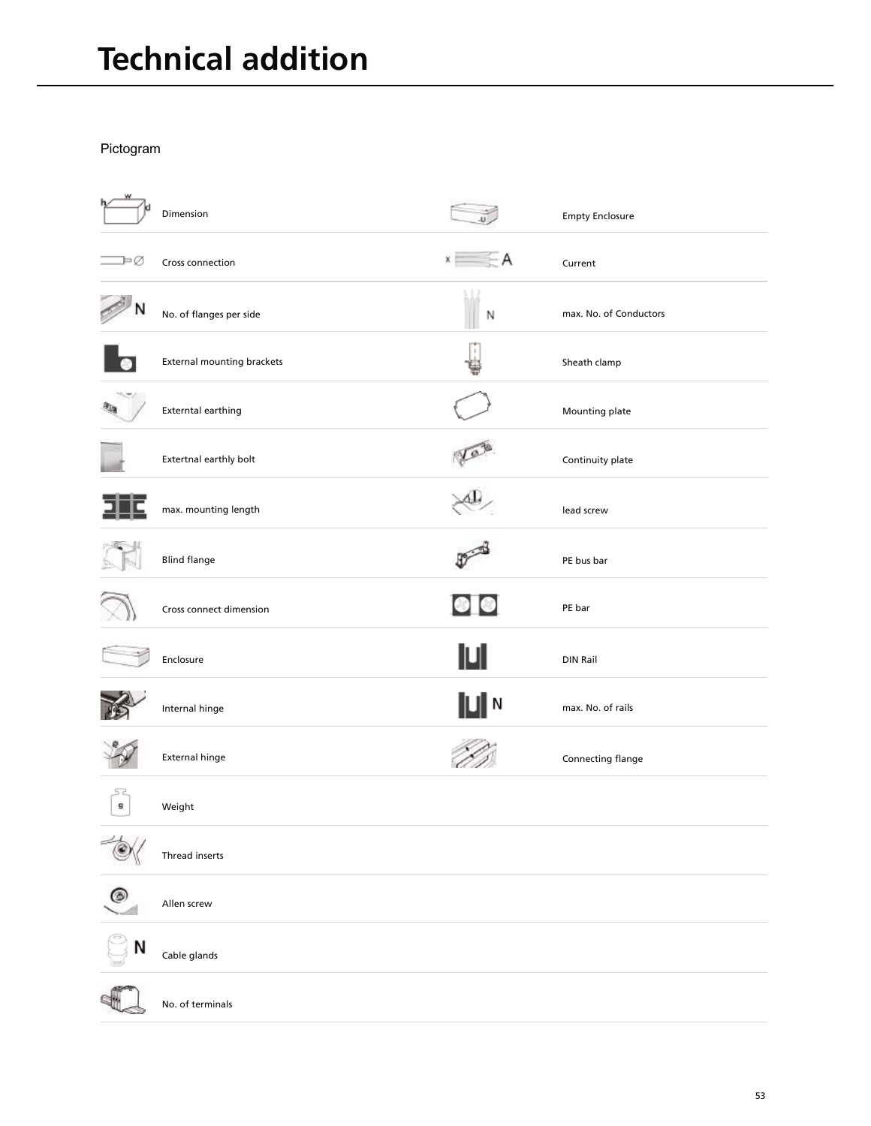Pictogram

|              | Dimension                         |     | <b>Empty Enclosure</b> |
|--------------|-----------------------------------|-----|------------------------|
| ∍⊘           | Cross connection                  |     | Current                |
|              | No. of flanges per side           | Ν   | max. No. of Conductors |
|              | <b>External mounting brackets</b> |     | Sheath clamp           |
|              | Externtal earthing                |     | Mounting plate         |
|              | Extertnal earthly bolt            |     | Continuity plate       |
|              | max. mounting length              |     | lead screw             |
|              | <b>Blind flange</b>               |     | PE bus bar             |
|              | Cross connect dimension           |     | PE bar                 |
|              | Enclosure                         | Iи  | <b>DIN Rail</b>        |
|              | Internal hinge                    | ◨▮▫ | max. No. of rails      |
|              | External hinge                    |     | Connecting flange      |
| g            | Weight                            |     |                        |
| $\alpha$     | Thread inserts                    |     |                        |
| $\odot$      | Allen screw                       |     |                        |
| $\bigcirc$ N | Cable glands                      |     |                        |
|              | No. of terminals                  |     |                        |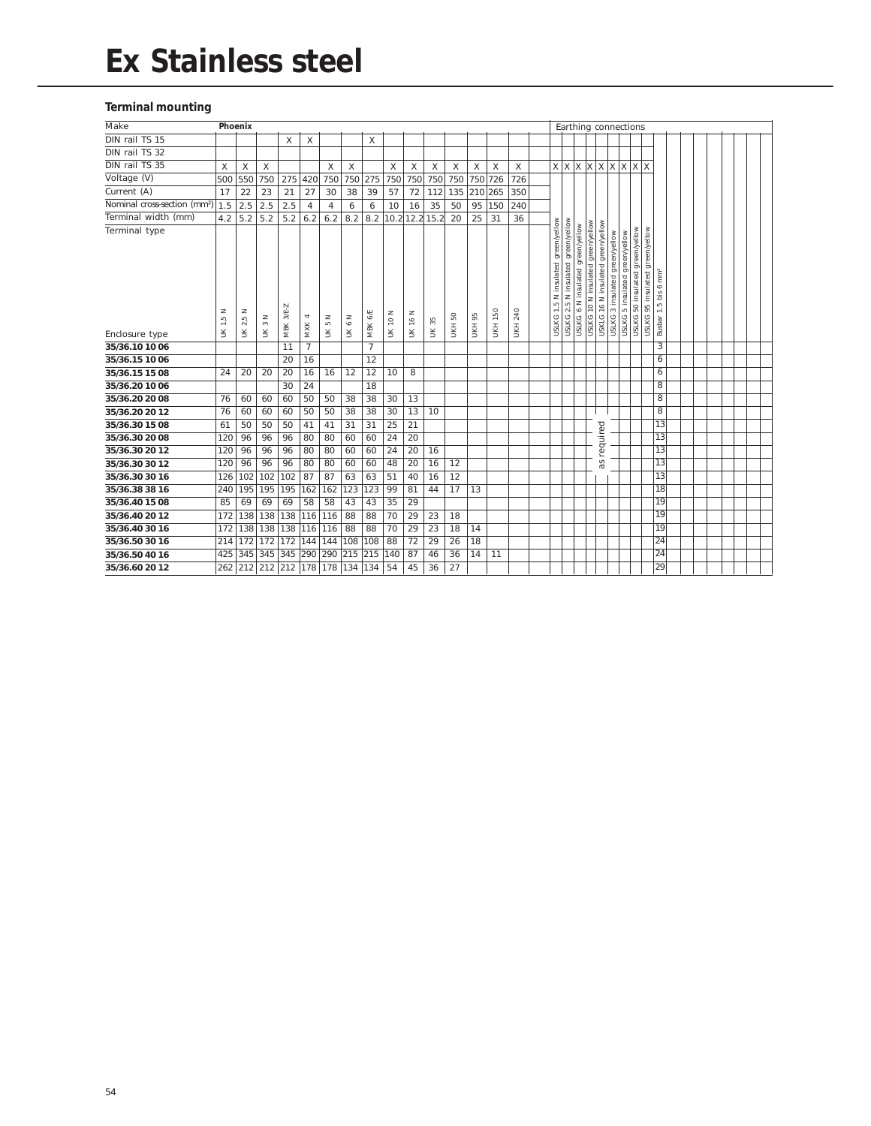# **Ex Stainless steel**

## **Terminal mounting**

| Make                                     | Phoenix  |          |                 |                  |                |                                |                         |                |                  |                              |              |                  |           |            |            |                                                  |                                                 |                                                                | Earthing connections              |                                                                                         |                                               |                                              |                                              |                                                       |  |  |  |  |
|------------------------------------------|----------|----------|-----------------|------------------|----------------|--------------------------------|-------------------------|----------------|------------------|------------------------------|--------------|------------------|-----------|------------|------------|--------------------------------------------------|-------------------------------------------------|----------------------------------------------------------------|-----------------------------------|-----------------------------------------------------------------------------------------|-----------------------------------------------|----------------------------------------------|----------------------------------------------|-------------------------------------------------------|--|--|--|--|
| DIN rail TS 15                           |          |          |                 | X                | X              |                                |                         | X              |                  |                              |              |                  |           |            |            |                                                  |                                                 |                                                                |                                   |                                                                                         |                                               |                                              |                                              |                                                       |  |  |  |  |
| DIN rail TS 32                           |          |          |                 |                  |                |                                |                         |                |                  |                              |              |                  |           |            |            |                                                  |                                                 |                                                                |                                   |                                                                                         |                                               |                                              |                                              |                                                       |  |  |  |  |
| DIN rail TS 35                           | X        | $\times$ | X               |                  |                | X                              | X                       |                | X                | X                            | X            | X                | X         | X          | X          |                                                  |                                                 |                                                                | x   x   x   x   x   x   x   x   x |                                                                                         |                                               |                                              |                                              |                                                       |  |  |  |  |
| Voltage (V)                              | 500      | 550 750  |                 | 275              | 420            | 750                            | 750                     | 275            | 750              | 750                          | 750 750      |                  | 750 726   |            | 726        |                                                  |                                                 |                                                                |                                   |                                                                                         |                                               |                                              |                                              |                                                       |  |  |  |  |
| Current (A)                              | 17       | 22       | 23              | 21               | 27             | 30                             | 38                      | 39             | 57               | 72                           |              | $112$ 135        | 210 265   |            | 350        |                                                  |                                                 |                                                                |                                   |                                                                                         |                                               |                                              |                                              |                                                       |  |  |  |  |
| Nominal cross-section (mm <sup>2</sup> ) | 1.5      | 2.5      | 2.5             | 2.5              | 4              | $\overline{4}$                 | 6                       | 6              | 10               | 16                           | 35           | 50               | 95        | 150        | 240        |                                                  |                                                 |                                                                |                                   |                                                                                         |                                               |                                              |                                              |                                                       |  |  |  |  |
| Terminal width (mm)                      | 4.2      | 5.2      | 5.2             | 5.2              | 6.2            | 6.2                            | 8.2                     | 8.2            | 10.2             |                              | 12.2 15.2    | 20               | 25        | 31         | 36         |                                                  |                                                 |                                                                |                                   |                                                                                         |                                               |                                              |                                              |                                                       |  |  |  |  |
| Terminal type                            | z<br>1,5 | z<br>2.5 | z<br>$\infty$   | $3/E - Z$<br>MBK | 4<br>MXK       | $\mathbf{z}$<br>$\mathfrak{g}$ | $\frac{8}{6}$<br>$\leq$ | 5/6<br>MBK     | 10 $N$<br>$\leq$ | z<br>$\frac{6}{1}$<br>$\leq$ | 35<br>$\leq$ | 50<br><b>HYM</b> | 95<br>JКН | 150<br>UКН | 240<br>UКН | green/yellow<br>N insulated<br>S<br><b>USLKG</b> | green/yellow<br>2.5 N insulated<br><b>USLKG</b> | green/yellow<br>insulated<br>$\geq$<br>$\circ$<br><b>USLKG</b> | USLKG 10 N insulated green/yellow | 16 N insulated green/yellow<br>3 insulated green/yellow<br><b>USKLG</b><br><b>USLKG</b> | insulated green/yellow<br>LO.<br><b>USLKG</b> | green/yellow<br>50 insulated<br><b>USLKG</b> | green/yellow<br>95 insulated<br><b>USLKG</b> | mm <sup>2</sup><br>ó<br>öś<br>$\frac{5}{1}$<br>Busbar |  |  |  |  |
| Enclosure type                           | š        | š        | š               |                  |                | $\breve{\exists}$              |                         |                |                  |                              |              |                  |           |            |            |                                                  |                                                 |                                                                |                                   |                                                                                         |                                               |                                              |                                              |                                                       |  |  |  |  |
| 35/36.10 10 06                           |          |          |                 | 11               | $\overline{7}$ |                                |                         | $\overline{7}$ |                  |                              |              |                  |           |            |            |                                                  |                                                 |                                                                |                                   |                                                                                         |                                               |                                              |                                              | 3                                                     |  |  |  |  |
| 35/36.15 10 06                           |          |          |                 | 20               | 16             |                                |                         | 12             |                  |                              |              |                  |           |            |            |                                                  |                                                 |                                                                |                                   |                                                                                         |                                               |                                              |                                              | 6                                                     |  |  |  |  |
| 35/36.15 15 08                           | 24       | 20       | 20              | 20               | 16             | 16                             | 12                      | 12             | 10               | 8                            |              |                  |           |            |            |                                                  |                                                 |                                                                |                                   |                                                                                         |                                               |                                              |                                              | 6                                                     |  |  |  |  |
| 35/36.20 10 06                           |          |          |                 | 30               | 24             |                                |                         | 18             |                  |                              |              |                  |           |            |            |                                                  |                                                 |                                                                |                                   |                                                                                         |                                               |                                              |                                              | 8                                                     |  |  |  |  |
| 35/36.20 20 08                           | 76       | 60       | 60              | 60               | 50             | 50                             | 38                      | 38             | 30               | 13                           |              |                  |           |            |            |                                                  |                                                 |                                                                |                                   |                                                                                         |                                               |                                              |                                              | 8                                                     |  |  |  |  |
| 35/36.20 20 12                           | 76       | 60       | 60              | 60               | 50             | 50                             | 38                      | 38             | 30               | 13                           | 10           |                  |           |            |            |                                                  |                                                 |                                                                |                                   |                                                                                         |                                               |                                              |                                              | $\overline{8}$                                        |  |  |  |  |
| 35/36.30 15 08                           | 61       | 50       | 50              | 50               | 41             | 41                             | 31                      | 31             | 25               | 21                           |              |                  |           |            |            |                                                  |                                                 |                                                                |                                   | required                                                                                |                                               |                                              |                                              | 13                                                    |  |  |  |  |
| 35/36.30 20 08                           | 120      | 96       | 96              | 96               | 80             | 80                             | 60                      | 60             | 24               | 20                           |              |                  |           |            |            |                                                  |                                                 |                                                                |                                   |                                                                                         |                                               |                                              |                                              | $\overline{13}$                                       |  |  |  |  |
| 35/36.30 20 12                           | 120      | 96       | 96              | 96               | 80             | 80                             | 60                      | 60             | 24               | 20                           | 16           |                  |           |            |            |                                                  |                                                 |                                                                |                                   |                                                                                         |                                               |                                              |                                              | $\overline{13}$                                       |  |  |  |  |
| 35/36.30 30 12                           | 120      | 96       | 96              | 96               | 80             | 80                             | 60                      | 60             | 48               | 20                           | 16           | 12               |           |            |            |                                                  |                                                 |                                                                |                                   | S.                                                                                      |                                               |                                              |                                              | 13                                                    |  |  |  |  |
| 35/36.30 30 16                           | 126      | 102      | 102             | 102              | 87             | 87                             | 63                      | 63             | 51               | 40                           | 16           | 12               |           |            |            |                                                  |                                                 |                                                                |                                   |                                                                                         |                                               |                                              |                                              | 13                                                    |  |  |  |  |
| 35/36.38 38 16                           | 240      | 195      | 195             | 195              | 162 162        |                                | 123                     | 123            | 99               | 81                           | 44           | 17               | 13        |            |            |                                                  |                                                 |                                                                |                                   |                                                                                         |                                               |                                              |                                              | 18                                                    |  |  |  |  |
| 35/36.40 15 08                           | 85       | 69       | 69              | 69               | 58             | 58                             | 43                      | 43             | 35               | 29                           |              |                  |           |            |            |                                                  |                                                 |                                                                |                                   |                                                                                         |                                               |                                              |                                              | 19                                                    |  |  |  |  |
| 35/36.40 20 12                           | 172      | 138      | 138             | 138              | 116 116        |                                | 88                      | 88             | 70               | 29                           | 23           | 18               |           |            |            |                                                  |                                                 |                                                                |                                   |                                                                                         |                                               |                                              |                                              | 19                                                    |  |  |  |  |
| 35/36.40 30 16                           | 172      | 138 138  |                 | 138              | 116 116        |                                | 88                      | 88             | 70               | 29                           | 23           | 18               | 14        |            |            |                                                  |                                                 |                                                                |                                   |                                                                                         |                                               |                                              |                                              | $\overline{19}$                                       |  |  |  |  |
| 35/36.50 30 16                           | 214      | 172      | 172             | 172              | 144            | 144                            | 108                     | 108            | 88               | 72                           | 29           | 26               | 18        |            |            |                                                  |                                                 |                                                                |                                   |                                                                                         |                                               |                                              |                                              | 24                                                    |  |  |  |  |
| 35/36.50 40 16                           | 425      |          | 345 345 345     |                  | 290 290        |                                | 215                     | 215            | 140              | 87                           | 46           | 36               | 14        | 11         |            |                                                  |                                                 |                                                                |                                   |                                                                                         |                                               |                                              |                                              | 24                                                    |  |  |  |  |
| 35/36.60 20 12                           |          |          | 262 212 212 212 |                  | 178 178        |                                | 134                     | 134            | 54               | 45                           | 36           | 27               |           |            |            |                                                  |                                                 |                                                                |                                   |                                                                                         |                                               |                                              |                                              | 29                                                    |  |  |  |  |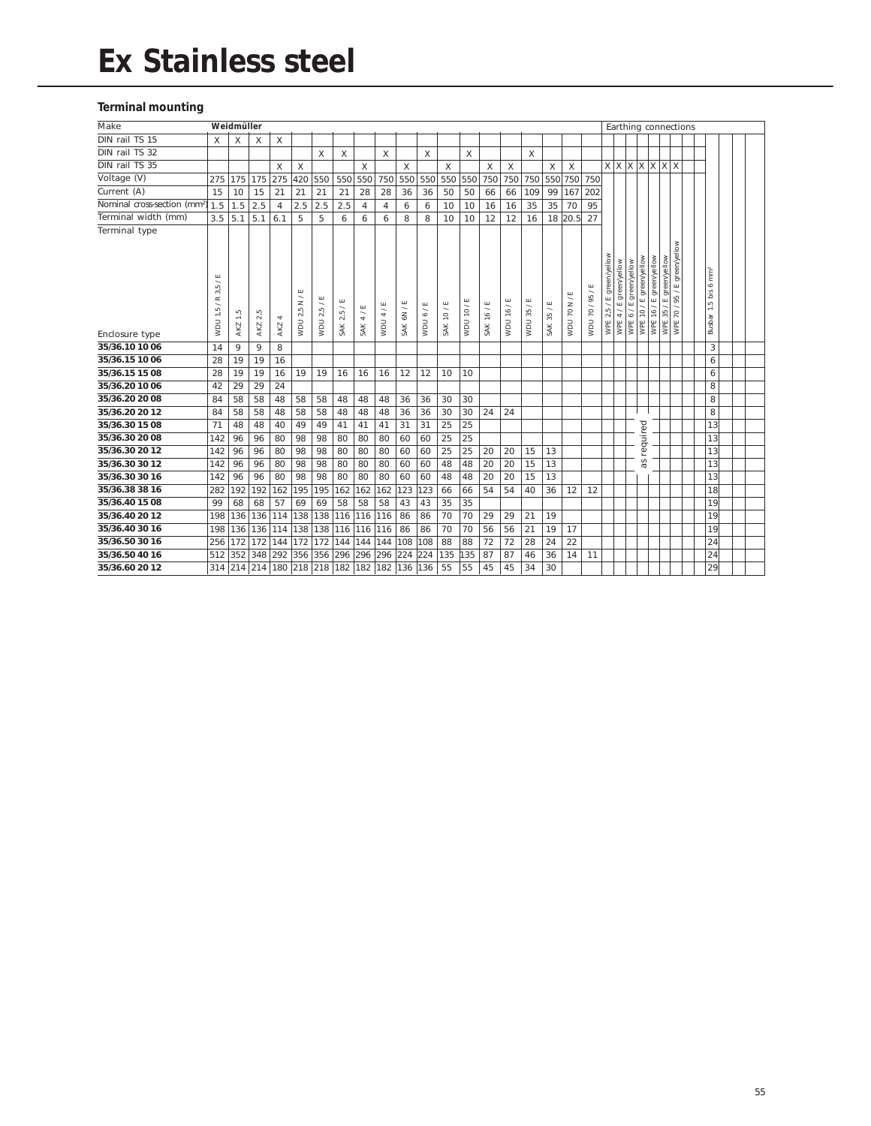# **Ex Stainless steel**

## **Terminal mounting**

| Make                                     |                                          | Weidmüller |                    |                      |                      |                         |                                             |                           |                           |          |                     |                                      |                 |                           |                           |                |                |                                             |                |                                  |                                   |                                           |                                                 |                                                                       |                                | Earthing connections                            |                                                        |  |  |
|------------------------------------------|------------------------------------------|------------|--------------------|----------------------|----------------------|-------------------------|---------------------------------------------|---------------------------|---------------------------|----------|---------------------|--------------------------------------|-----------------|---------------------------|---------------------------|----------------|----------------|---------------------------------------------|----------------|----------------------------------|-----------------------------------|-------------------------------------------|-------------------------------------------------|-----------------------------------------------------------------------|--------------------------------|-------------------------------------------------|--------------------------------------------------------|--|--|
| DIN rail TS 15                           | X                                        | X          | X                  | X                    |                      |                         |                                             |                           |                           |          |                     |                                      |                 |                           |                           |                |                |                                             |                |                                  |                                   |                                           |                                                 |                                                                       |                                |                                                 |                                                        |  |  |
| DIN rail TS 32                           |                                          |            |                    |                      |                      | X                       | X                                           |                           | X                         |          | X                   |                                      | X               |                           |                           | X              |                |                                             |                |                                  |                                   |                                           |                                                 |                                                                       |                                |                                                 |                                                        |  |  |
| DIN rail TS 35                           |                                          |            |                    | X                    | X                    |                         |                                             | X                         |                           | X        |                     | X                                    |                 | X                         | X                         |                | X              | X                                           |                |                                  |                                   |                                           |                                                 |                                                                       | $x$ $x$ $x$ $x$ $x$ $x$ $x$    |                                                 |                                                        |  |  |
| Voltage (V)                              | 275                                      | 175 175    |                    | 275                  | 420                  | 550                     | 550                                         | 550                       | 750                       | 550      | 550                 | 550                                  | 550             | 750                       | 750                       | 750            | 550 750        |                                             | 750            |                                  |                                   |                                           |                                                 |                                                                       |                                |                                                 |                                                        |  |  |
| Current (A)                              | 15                                       | 10         | 15                 | 21                   | 21                   | 21                      | 21                                          | 28                        | 28                        | 36       | 36                  | 50                                   | 50              | 66                        | 66                        | 109            | 99             | 167                                         | 202            |                                  |                                   |                                           |                                                 |                                                                       |                                |                                                 |                                                        |  |  |
| Nominal cross-section (mm <sup>2</sup> ) | 1.5                                      | 1.5        | 2.5                | $\overline{4}$       | 2.5                  | 2.5                     | 2.5                                         | 4                         | $\overline{4}$            | 6        | 6                   | 10                                   | 10              | 16                        | 16                        | 35             | 35             | 70                                          | 95             |                                  |                                   |                                           |                                                 |                                                                       |                                |                                                 |                                                        |  |  |
| Terminal width (mm)                      | 3.5                                      | 5.1        | 5.1                | 6.1                  | 5                    | 5                       | 6                                           | 6                         | 6                         | 8        | 8                   | 10                                   | 10              | 12                        | 12                        | 16             |                | 18 20.5                                     | 27             |                                  |                                   |                                           |                                                 |                                                                       |                                |                                                 |                                                        |  |  |
| Terminal type                            |                                          |            |                    |                      |                      |                         |                                             |                           |                           |          |                     |                                      |                 |                           |                           |                |                |                                             |                |                                  |                                   |                                           |                                                 |                                                                       |                                | š                                               |                                                        |  |  |
| Enclosure type                           | ш<br>S<br>ന്<br>$\simeq$<br>∽<br>WDU 1,5 | AKZ        | S<br>$\sim$<br>AKZ | 4<br>AK <sub>Z</sub> | ш<br>z<br>2.5<br>naw | $\sqcup$<br>2,5<br>naw  | ш<br>$\overline{\phantom{0}}$<br>2.5<br>SAK | ш<br>$\Rightarrow$<br>SAK | ш<br>$\Rightarrow$<br>naw | SAK 6N / | ш<br>$\circ$<br>naw | $\mathbf{L}$<br>$\frac{1}{2}$<br>SAK | ш<br>101<br>naw | ш<br>$\frac{6}{2}$<br>SAK | ш<br>$\frac{6}{1}$<br>naw | ш<br>35<br>naw | ш<br>55<br>SAK | $\sqcup$<br>$\geq$<br>$\overline{z}$<br>naw | 70 / 95<br>naw | green/yellow<br>ш<br>2,5/<br>WPE | greenyellow<br>ш<br>4<br><b>S</b> | greenyellow<br>ш<br>$\overline{6}$<br>WPE | green/yellow<br>ш<br>$\overline{C}$<br><b>A</b> | green/yellow<br>ш<br>$\overline{\phantom{a}}$<br>$\frac{6}{1}$<br>WPE | green/yellow<br>ш<br>85<br>WPE | green/yell<br>ш<br>95<br>$\overline{70}$<br>WPE | mm <sup>2</sup><br>ó<br>öś<br>$\frac{15}{1}$<br>Busbar |  |  |
| 35/36.10 10 06                           | 14                                       | 9          | 9                  | 8                    |                      |                         |                                             |                           |                           |          |                     |                                      |                 |                           |                           |                |                |                                             |                |                                  |                                   |                                           |                                                 |                                                                       |                                |                                                 | 3                                                      |  |  |
| 35/36.15 10 06                           | 28                                       | 19         | 19                 | 16                   |                      |                         |                                             |                           |                           |          |                     |                                      |                 |                           |                           |                |                |                                             |                |                                  |                                   |                                           |                                                 |                                                                       |                                |                                                 | 6                                                      |  |  |
| 35/36.15 15 08                           | 28                                       | 19         | 19                 | 16                   | 19                   | 19                      | 16                                          | 16                        | 16                        | 12       | 12                  | 10                                   | 10              |                           |                           |                |                |                                             |                |                                  |                                   |                                           |                                                 |                                                                       |                                |                                                 | 6                                                      |  |  |
| 35/36.20 10 06                           | 42                                       | 29         | 29                 | 24                   |                      |                         |                                             |                           |                           |          |                     |                                      |                 |                           |                           |                |                |                                             |                |                                  |                                   |                                           |                                                 |                                                                       |                                |                                                 | 8                                                      |  |  |
| 35/36.20 20 08                           | 84                                       | 58         | 58                 | 48                   | 58                   | 58                      | 48                                          | 48                        | 48                        | 36       | 36                  | 30                                   | 30              |                           |                           |                |                |                                             |                |                                  |                                   |                                           |                                                 |                                                                       |                                |                                                 | 8                                                      |  |  |
| 35/36.20 20 12                           | 84                                       | 58         | 58                 | 48                   | 58                   | 58                      | 48                                          | 48                        | 48                        | 36       | 36                  | 30                                   | 30              | 24                        | 24                        |                |                |                                             |                |                                  |                                   |                                           |                                                 |                                                                       |                                |                                                 | 8                                                      |  |  |
| 35/36.30 15 08                           | 71                                       | 48         | 48                 | 40                   | 49                   | 49                      | 41                                          | 41                        | 41                        | 31       | 31                  | 25                                   | 25              |                           |                           |                |                |                                             |                |                                  |                                   |                                           |                                                 |                                                                       |                                |                                                 | 13                                                     |  |  |
| 35/36.30 20 08                           | 142                                      | 96         | 96                 | 80                   | 98                   | 98                      | 80                                          | 80                        | 80                        | 60       | 60                  | 25                                   | 25              |                           |                           |                |                |                                             |                |                                  |                                   |                                           | required                                        |                                                                       |                                |                                                 | 13                                                     |  |  |
| 35/36.30 20 12                           | 142                                      | 96         | 96                 | 80                   | 98                   | 98                      | 80                                          | 80                        | 80                        | 60       | 60                  | 25                                   | 25              | 20                        | 20                        | 15             | 13             |                                             |                |                                  |                                   |                                           |                                                 |                                                                       |                                |                                                 | 13                                                     |  |  |
| 35/36.30 30 12                           | 142                                      | 96         | 96                 | 80                   | 98                   | 98                      | 80                                          | 80                        | 80                        | 60       | 60                  | 48                                   | 48              | 20                        | 20                        | 15             | 13             |                                             |                |                                  |                                   |                                           | 3S                                              |                                                                       |                                |                                                 | 13                                                     |  |  |
| 35/36.30 30 16                           | 142                                      | 96         | 96                 | 80                   | 98                   | 98                      | 80                                          | 80                        | 80                        | 60       | 60                  | 48                                   | 48              | 20                        | 20                        | 15             | 13             |                                             |                |                                  |                                   |                                           |                                                 |                                                                       |                                |                                                 | 13                                                     |  |  |
| 35/36.38 38 16                           | 282                                      | 192        | 192                | 162                  | 195 195              |                         | 162                                         | 162                       | 162                       | 123      | 123                 | 66                                   | 66              | 54                        | 54                        | 40             | 36             | 12                                          | 12             |                                  |                                   |                                           |                                                 |                                                                       |                                |                                                 | 18                                                     |  |  |
| 35/36.40 15 08                           | 99                                       | 68         | 68                 | 57                   | 69                   | 69                      | 58                                          | 58                        | 58                        | 43       | 43                  | 35                                   | 35              |                           |                           |                |                |                                             |                |                                  |                                   |                                           |                                                 |                                                                       |                                |                                                 | 19                                                     |  |  |
| 35/36.40 20 12                           | 198                                      | 136        | 136                | 114                  | 138                  | 138                     | 116                                         | 116                       | 116                       | 86       | 86                  | 70                                   | 70              | 29                        | 29                        | 21             | 19             |                                             |                |                                  |                                   |                                           |                                                 |                                                                       |                                |                                                 | 19                                                     |  |  |
| 35/36.40 30 16                           | 198                                      | 136        | 136                | 114                  | 138 138              |                         | 116                                         | 116                       | 116                       | 86       | 86                  | 70                                   | 70              | 56                        | 56                        | 21             | 19             | 17                                          |                |                                  |                                   |                                           |                                                 |                                                                       |                                |                                                 | 19                                                     |  |  |
| 35/36.50 30 16                           | 256                                      | 172        | 172                | 144                  | 172 172              |                         | 144                                         | 144                       | 144                       | 108      | 108                 | 88                                   | 88              | 72                        | 72                        | 28             | 24             | 22                                          |                |                                  |                                   |                                           |                                                 |                                                                       |                                |                                                 | 24                                                     |  |  |
| 35/36.50 40 16                           | 512                                      |            | 352 348 292        |                      | 356 356              |                         | 296                                         | 296                       | 296                       | 224      | 224                 | 135                                  | 135             | 87                        | 87                        | 46             | 36             | 14                                          | 11             |                                  |                                   |                                           |                                                 |                                                                       |                                |                                                 | 24                                                     |  |  |
| 35/36.60 20 12                           | 314                                      |            |                    |                      |                      | 214 214 180 218 218 182 |                                             |                           | 182 182 136 136           |          |                     | 55                                   | 55              | 45                        | 45                        | 34             | 30             |                                             |                |                                  |                                   |                                           |                                                 |                                                                       |                                |                                                 | 29                                                     |  |  |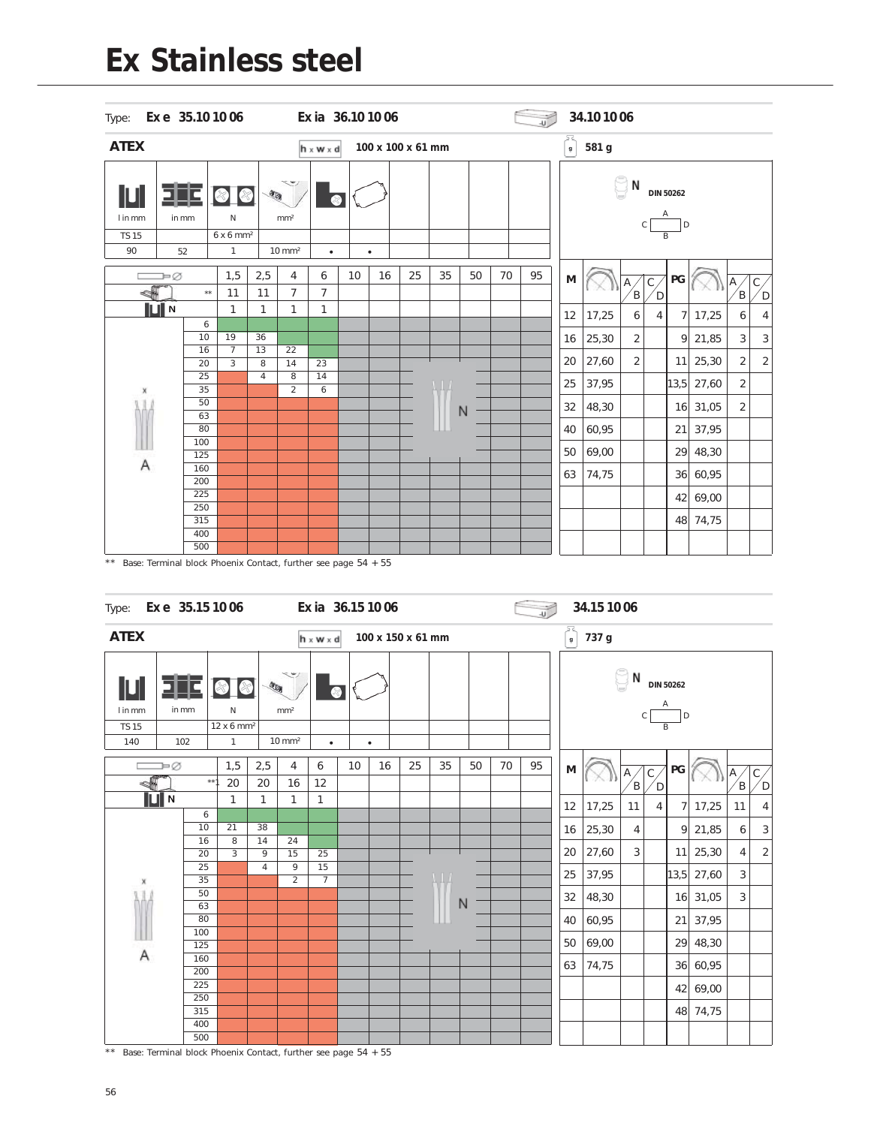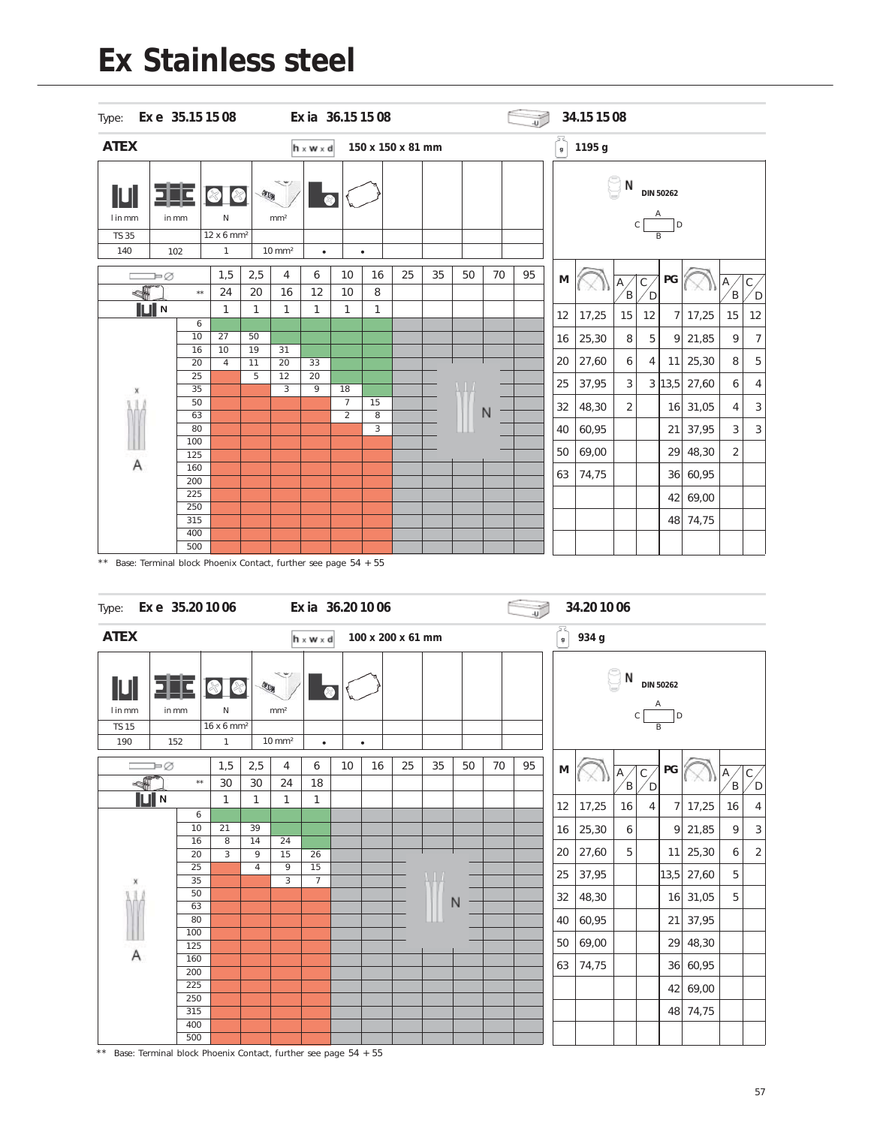| Type:                          | Exe 35.15 15 08                                                                    |                 |                                             |                        |                                            |                       | Ex ia 36.15 15 08    |           |                   |    |    |    |    |                  | 34.151508            |                |                                       |                 |               |              |                         |
|--------------------------------|------------------------------------------------------------------------------------|-----------------|---------------------------------------------|------------------------|--------------------------------------------|-----------------------|----------------------|-----------|-------------------|----|----|----|----|------------------|----------------------|----------------|---------------------------------------|-----------------|---------------|--------------|-------------------------|
| <b>ATEX</b>                    |                                                                                    |                 |                                             |                        |                                            | $h \times W \times d$ |                      |           | 150 x 150 x 81 mm |    |    |    |    | g                | 1195 g               |                |                                       |                 |               |              |                         |
| I in mm<br><b>TS 35</b>        |                                                                                    | in mm           | Ν<br>12 x 6 mm <sup>2</sup>                 |                        | $\partial \mathbb{D}_3$<br>mm <sup>2</sup> | <b>DO</b>             |                      |           |                   |    |    |    |    |                  |                      | ٤<br>N         | <b>DIN 50262</b><br>$C \frac{A}{R} D$ |                 |               |              |                         |
| 140                            |                                                                                    | 102             | 1                                           |                        | $10 \text{ mm}^2$                          | ٠                     |                      |           |                   |    |    |    |    |                  |                      |                |                                       |                 |               |              |                         |
|                                | ÞØ                                                                                 |                 | 1,5                                         | 2,5                    | 4                                          | 6                     | 10                   | 16        | 25                | 35 | 50 | 70 | 95 | M                |                      | А              | $\mathsf{C}$                          | $\mathsf{PG}$   |               | Α            | $\mathsf{C}$            |
|                                | ◀                                                                                  | $\star\star$    | 24                                          | 20                     | 16                                         | 12                    | 10                   | 8         |                   |    |    |    |    |                  |                      | $\sqrt{B}$     | D `                                   |                 |               | $\mathsf{B}$ | $\sqrt{D}$              |
|                                | <b>ILI</b> N                                                                       |                 | $\mathbf{1}$                                | 1                      | 1                                          | 1                     | 1                    | 1         |                   |    |    |    |    | 12               | 17,25                | 15             | 12                                    | 7 <sup>1</sup>  | 17,25         | 15           | 12                      |
|                                |                                                                                    | 6               |                                             |                        |                                            |                       |                      |           |                   |    |    |    |    |                  |                      |                |                                       |                 |               |              |                         |
|                                |                                                                                    | 10<br>16        | 27<br>10                                    | 50<br>19               | 31                                         |                       |                      |           |                   |    |    |    |    | 16               | 25,30                | 8              | 5                                     | 9               | 21,85         | 9            | $\overline{7}$          |
|                                |                                                                                    | 20              | $\overline{4}$                              | 11                     | 20                                         | 33                    |                      |           |                   |    |    |    |    | 20               | 27,60                | 6              | 4                                     |                 | 11 25,30      | 8            | 5                       |
|                                |                                                                                    | 25              |                                             | 5                      | 12                                         | 20                    |                      |           |                   |    |    |    |    | 25               | 37,95                | 3              |                                       |                 | 3 13,5 27,60  | 6            | 4                       |
|                                | ×                                                                                  | 35<br>50        |                                             |                        | 3                                          | 9                     | 18<br>$\overline{7}$ | 15        |                   |    | NИ |    |    |                  |                      |                |                                       |                 |               |              |                         |
|                                |                                                                                    | 63              |                                             |                        |                                            |                       | $\overline{2}$       | 8         |                   |    |    | N  |    | 32               | 48,30                | $\overline{2}$ |                                       |                 | 16 31,05      | 4            | 3                       |
|                                |                                                                                    | 80              |                                             |                        |                                            |                       |                      | 3         |                   |    |    |    |    | 40               | 60,95                |                |                                       |                 | 21 37,95      | 3            | 3                       |
|                                |                                                                                    | 100<br>125      |                                             |                        |                                            |                       |                      |           |                   |    |    |    |    | 50               | 69,00                |                |                                       |                 | 29 48,30      | 2            |                         |
|                                | Α                                                                                  | 160             |                                             |                        |                                            |                       |                      |           |                   |    |    |    |    | 63               | 74,75                |                |                                       |                 | 36 60,95      |              |                         |
|                                |                                                                                    | 200             |                                             |                        |                                            |                       |                      |           |                   |    |    |    |    |                  |                      |                |                                       |                 |               |              |                         |
|                                |                                                                                    | 225<br>250      |                                             |                        |                                            |                       |                      |           |                   |    |    |    |    |                  |                      |                |                                       |                 | 42 69,00      |              |                         |
|                                |                                                                                    | 315             |                                             |                        |                                            |                       |                      |           |                   |    |    |    |    |                  |                      |                |                                       |                 | 48 74,75      |              |                         |
|                                |                                                                                    | 400<br>500      |                                             |                        |                                            |                       |                      |           |                   |    |    |    |    |                  |                      |                |                                       |                 |               |              |                         |
| Type:<br><b>ATEX</b>           | ** Base: Terminal block Phoenix Contact, further see page 54 + 55<br>Exe 35.201006 |                 |                                             |                        |                                            | $h \times W \times d$ | Ex ia 36.20 10 06    |           | 100 x 200 x 61 mm |    |    |    | 式  | $\boldsymbol{g}$ | 34.20 10 06<br>934 g |                |                                       |                 |               |              |                         |
|                                |                                                                                    |                 |                                             |                        |                                            |                       |                      |           |                   |    |    |    |    |                  |                      |                |                                       |                 |               |              |                         |
| I in mm<br><b>TS 15</b><br>190 |                                                                                    | in mm<br>152    | N<br>16 x 6 mm <sup>2</sup><br>$\mathbf{1}$ | $\partial\mathbb{D}_3$ | mm <sup>2</sup><br>$10 \text{ mm}^2$       | $\bullet$             |                      | $\bullet$ |                   |    |    |    |    |                  |                      | Ν              | <b>DIN 50262</b>                      | D               |               |              |                         |
|                                |                                                                                    |                 |                                             |                        |                                            |                       |                      |           |                   |    |    |    |    |                  |                      |                |                                       |                 |               |              |                         |
|                                | ে⊨⊘                                                                                |                 | 1,5                                         | $2,5$                  | 4                                          | 6                     | 10                   | 16        | 25                | 35 | 50 | 70 | 95 | M                |                      | Α              | C                                     | PG              |               |              | С                       |
|                                | 4                                                                                  | $^{\star\star}$ | 30                                          | $30\,$                 | 24                                         | 18                    |                      |           |                   |    |    |    |    |                  |                      | $\sqrt{B}$     | $\sqrt{D}$                            |                 |               | $\mathsf{B}$ | $\sqrt{D}$              |
|                                | IUI <sup>N</sup>                                                                   | 6               | $\mathbf{1}$                                | $\mathbf{1}$           | 1                                          | 1                     |                      |           |                   |    |    |    |    | 12               | 17,25                | 16             | 4                                     | $7\overline{ }$ | 17,25         | 16           | 4                       |
|                                |                                                                                    | 10              | 21                                          | 39                     |                                            |                       |                      |           |                   |    |    |    |    | 16               | 25,30                | 6              |                                       |                 | 9 21,85       | 9            | 3                       |
|                                |                                                                                    | 16              | 8                                           | 14                     | 24                                         |                       |                      |           |                   |    |    |    |    |                  |                      |                |                                       |                 |               |              |                         |
|                                |                                                                                    | 20<br>25        | $\sqrt{3}$                                  | 9<br>4                 | 15<br>9                                    | 26<br>15              |                      |           |                   |    |    |    |    | 20               | 27,60                | 5              |                                       |                 | $11 \, 25,30$ | 6            | $\overline{\mathbf{c}}$ |
|                                | X                                                                                  | 35              |                                             |                        | 3                                          | $\overline{7}$        |                      |           |                   | Щú |    |    |    | 25               | 37,95                |                |                                       |                 | 13,5 27,60    | 5            |                         |
|                                |                                                                                    | 50              |                                             |                        |                                            |                       |                      |           |                   |    | N  |    |    | 32               | 48,30                |                |                                       |                 | 16 31,05      | 5            |                         |
|                                |                                                                                    | 63<br>80        |                                             |                        |                                            |                       |                      |           |                   |    |    |    |    | 40               | 60,95                |                |                                       |                 | 21 37,95      |              |                         |
|                                |                                                                                    | 100             |                                             |                        |                                            |                       |                      |           |                   |    |    |    |    |                  |                      |                |                                       |                 |               |              |                         |
|                                |                                                                                    | 125             |                                             |                        |                                            |                       |                      |           |                   |    |    |    |    | 50               | 69,00                |                |                                       |                 | 29 48,30      |              |                         |

 $\mathsf A$ 

 $63 \mid 74,75 \mid$   $36 \mid 60,95$ 

42 69,00 48 74,75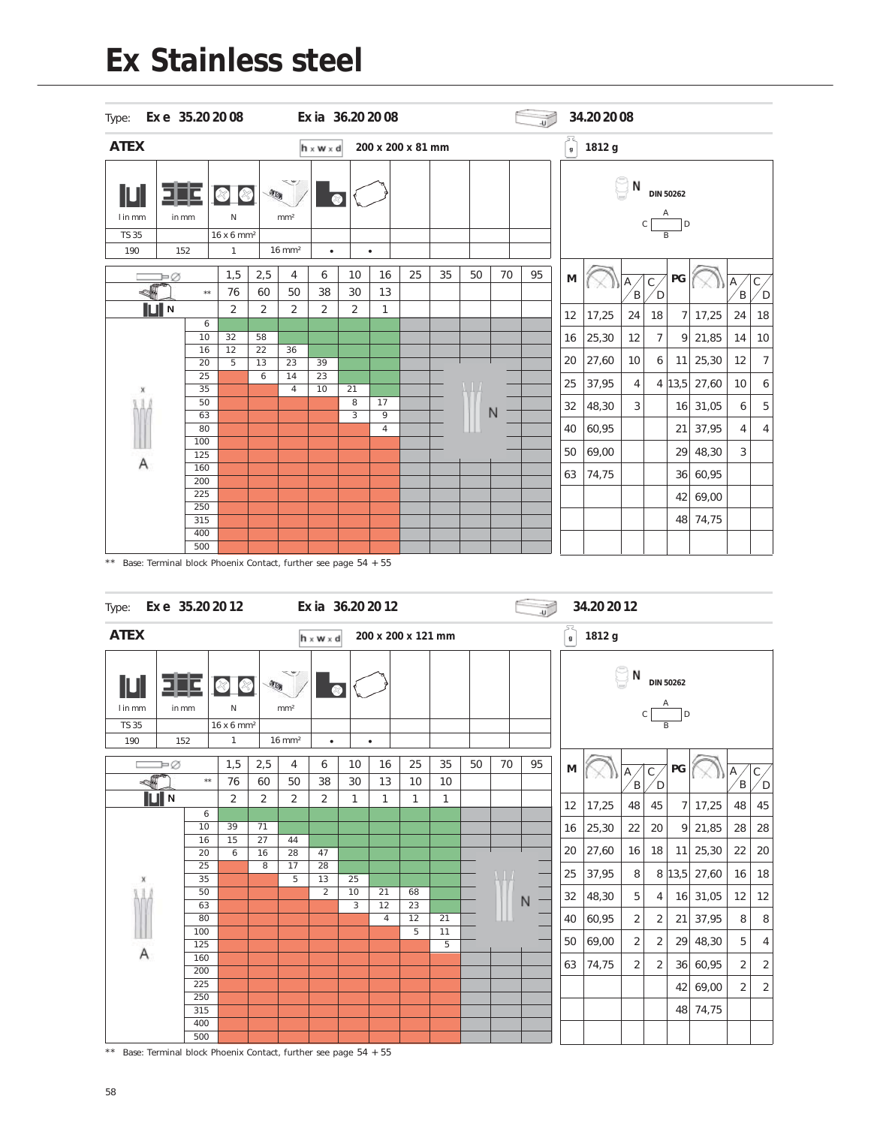|                         | Type: Ex e 35.20 20 08                                         |                   |                             |                      |                                  |                       | Ex ia 36.20 20 08 |                |                    |                      |     |     |    |                 | 34.20 20 08 |                |                                      |                |                 |                |                        |
|-------------------------|----------------------------------------------------------------|-------------------|-----------------------------|----------------------|----------------------------------|-----------------------|-------------------|----------------|--------------------|----------------------|-----|-----|----|-----------------|-------------|----------------|--------------------------------------|----------------|-----------------|----------------|------------------------|
| <b>ATEX</b>             |                                                                |                   |                             |                      |                                  | $h \times W \times d$ |                   |                | 200 x 200 x 81 mm  |                      |     |     |    | g               | 1812 g      |                |                                      |                |                 |                |                        |
| I in mm<br><b>TS 35</b> | in mm                                                          |                   | N<br>$16x6$ mm <sup>2</sup> |                      | $\frac{1}{2}$<br>mm <sup>2</sup> | $\overline{\bullet}$  |                   |                |                    |                      |     |     |    |                 |             | $\mathbb{S}$ N | <b>DIN 50262</b><br>$C \overline{A}$ | Ţр             |                 |                |                        |
| 190                     | 152                                                            |                   | $\mathbf{1}$                |                      | $16 \text{ mm}^2$                | $\bullet$             |                   | $\bullet$      |                    |                      |     |     |    |                 |             |                |                                      |                |                 |                |                        |
|                         | ÞØ                                                             | $\star\star$      | 1,5                         | 2,5                  | 4                                | 6                     | 10<br>30          | 16<br>13       | 25                 | 35                   | 50  | 70  | 95 | M               |             |                | С                                    | PG             |                 | Α              | С                      |
|                         | IUI <sup>N</sup>                                               |                   | 76<br>$\overline{2}$        | 60<br>$\overline{2}$ | 50<br>$\overline{2}$             | 38<br>$\overline{2}$  | $\overline{2}$    | 1              |                    |                      |     |     |    |                 |             | $\mathsf{B}$   | ′ D                                  |                |                 | $\sqrt{B}$     | $\sqrt{D}$             |
|                         |                                                                | 6<br>10           | 32                          | 58                   |                                  |                       |                   |                |                    |                      |     |     |    | 12              | 17,25       | 24             | 18                                   | 7 <sup>1</sup> | 17,25           | 24             | 18                     |
|                         |                                                                | 16                | 12                          | 22                   | 36                               |                       |                   |                |                    |                      |     |     |    | 16              | 25,30       | 12             | 7                                    |                | $9 \ 21,85$     | 14             | 10                     |
|                         |                                                                | 20<br>25          | 5                           | 13<br>6              | 23<br>14                         | 39<br>23              |                   |                |                    |                      |     |     |    | 20              | 27,60       | 10             | 6                                    | 11             | 25,30           | 12             | $\overline{7}$         |
|                         |                                                                | 35                |                             |                      | $\overline{4}$                   | 10                    | 21                |                |                    |                      | 111 |     |    | 25              | 37,95       | 4              | 4                                    |                | $ 13,5 $ 27,60  | 10             | 6                      |
|                         |                                                                | 50<br>63          |                             |                      |                                  |                       | 8<br>3            | 17<br>9        |                    |                      |     | N   |    | 32              | 48,30       | 3              |                                      |                | 16 31,05        | 6              | 5                      |
|                         |                                                                | 80                |                             |                      |                                  |                       |                   | $\overline{4}$ |                    |                      |     |     |    | 40              | 60,95       |                |                                      |                | 21 37,95        | $\overline{4}$ | 4                      |
|                         |                                                                | 100<br>125        |                             |                      |                                  |                       |                   |                |                    |                      |     |     |    | 50              | 69,00       |                |                                      |                | 29 48,30        | 3              |                        |
|                         | Α                                                              | 160<br>200        |                             |                      |                                  |                       |                   |                |                    |                      |     |     |    | 63              | 74,75       |                |                                      |                | 36 60,95        |                |                        |
|                         |                                                                | 225               |                             |                      |                                  |                       |                   |                |                    |                      |     |     |    |                 |             |                |                                      |                | 42 69,00        |                |                        |
|                         |                                                                | 250<br>315        |                             |                      |                                  |                       |                   |                |                    |                      |     |     |    |                 |             |                |                                      |                | 48 74,75        |                |                        |
|                         |                                                                | 400               |                             |                      |                                  |                       |                   |                |                    |                      |     |     |    |                 |             |                |                                      |                |                 |                |                        |
| $***$                   | Base: Terminal block Phoenix Contact, further see page 54 + 55 | 500               |                             |                      |                                  |                       |                   |                |                    |                      |     |     |    |                 |             |                |                                      |                |                 |                |                        |
| <b>ATEX</b>             | Type: Ex e 35.20 20 12                                         |                   |                             |                      |                                  |                       | Ex ia 36.20 20 12 |                |                    |                      |     |     |    |                 | 34.20 20 12 |                |                                      |                |                 |                |                        |
|                         |                                                                |                   |                             |                      |                                  | $h \times W \times d$ |                   |                | 200 x 200 x 121 mm |                      |     |     |    | $\mathbf{g}$    | 1812 g      |                |                                      |                |                 |                |                        |
| I in mm                 |                                                                | in mm             | N                           | $\eta_{\rm B}$       | mm <sup>2</sup>                  |                       |                   |                |                    |                      |     |     |    |                 |             | Ν              | <b>DIN 50262</b>                     |                |                 |                |                        |
| <b>TS 35</b>            |                                                                |                   | $16x6$ mm <sup>2</sup>      |                      |                                  |                       |                   |                |                    |                      |     |     |    |                 |             |                |                                      |                |                 |                |                        |
| 190                     |                                                                | 152               | 1                           |                      | $16 \text{ mm}^2$                |                       |                   |                |                    |                      |     |     |    |                 |             |                |                                      |                |                 |                |                        |
|                         | ে⊨⊘                                                            | $^{\star\star}$   | 1,5                         | 2,5<br>60            | 4<br>50                          | 6<br>38               | 10<br>30          | 16<br>13       | 25<br>10           | 35                   | 50  | 70  | 95 | M               |             |                | $\mathsf{C}^{\mathsf{I}}$            | $\mathsf{PG}$  |                 | Α              | $\mathsf{C}_{\lambda}$ |
|                         | 4<br><b>ILI</b> N                                              |                   | 76<br>$\overline{2}$        | 2                    | $\overline{2}$                   | $\overline{2}$        | 1                 | 1              | $\mathbf{1}$       | $10$<br>$\mathbf{1}$ |     |     |    |                 |             | $\sqrt{B}$     | ′ D                                  |                |                 | $\sqrt{B}$     | D)                     |
|                         |                                                                | 6                 |                             |                      |                                  |                       |                   |                |                    |                      |     |     |    | 12 <sup>2</sup> | 17,25       | 48             | 45                                   |                | $7$ 17,25       | 48             | 45                     |
|                         |                                                                | 10<br>16          | 39<br>15                    | 71<br>27             | 44                               |                       |                   |                |                    |                      |     |     |    | 16              | 25,30       | 22             | 20                                   |                | $9$ 21,85       | 28             | 28                     |
|                         |                                                                | 20<br>25          | $\boldsymbol{6}$            | 16<br>8              | 28<br>17                         | 47<br>28              |                   |                |                    |                      |     |     |    | 20              | 27,60       | 16             | 18                                   |                | $11 \mid 25,30$ | 22             | 20                     |
|                         | X                                                              | 35                |                             |                      | 5                                | 13                    | 25                |                |                    |                      |     | 114 |    | 25              | 37,95       | 8              | 8                                    |                | $ 13,5 $ 27,60  | 16             | 18                     |
|                         |                                                                | 50<br>63          |                             |                      |                                  | $\overline{2}$        | 10<br>$\sqrt{3}$  | 21<br>12       | 68<br>23           |                      |     |     |    | 32              | 48,30       | 5              | 4                                    |                | 16 31,05        | 12             | 12                     |
|                         |                                                                | 80                |                             |                      |                                  |                       |                   | $\overline{4}$ | 12                 | 21                   |     |     |    | 40              | 60,95       | $\overline{2}$ | 2                                    |                | 21 37,95        | 8              | 8                      |
|                         |                                                                | 100<br>125        |                             |                      |                                  |                       |                   |                | $\sqrt{5}$         | 11<br>$\sqrt{5}$     |     |     |    | 50              | 69,00       | $\overline{2}$ | 2                                    |                | 29 48,30        | 5              | 4                      |
|                         | Α                                                              | 160<br>200        |                             |                      |                                  |                       |                   |                |                    |                      |     |     |    | 63              | 74,75       | $\overline{2}$ | 2                                    |                | 36 60,95        | $\overline{2}$ | $\overline{2}$         |
|                         |                                                                | 225               |                             |                      |                                  |                       |                   |                |                    |                      |     |     |    |                 |             |                |                                      |                | 42 69,00        | $\overline{2}$ | $\sqrt{2}$             |
|                         |                                                                | 250<br>315<br>400 |                             |                      |                                  |                       |                   |                |                    |                      |     |     |    |                 |             |                |                                      |                | 48 74,75        |                |                        |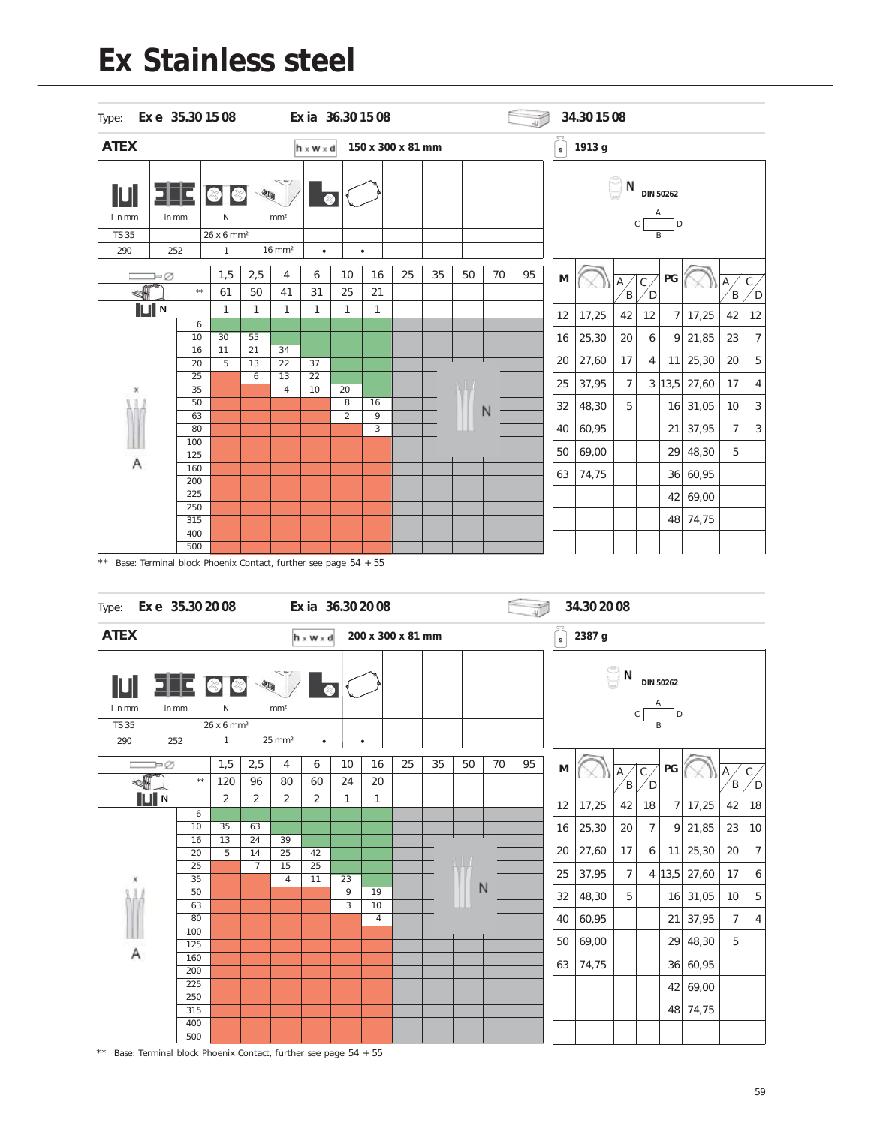| Type:                | Ex e 35.30 15 08 |                 |                                        |                |                                           |                                                  | Ex ia 36.30 15 08   |                |                   |    |     |    |                |                                                                                                            | 34.30 15 08           |                 |                                              |                |           |                 |                              |
|----------------------|------------------|-----------------|----------------------------------------|----------------|-------------------------------------------|--------------------------------------------------|---------------------|----------------|-------------------|----|-----|----|----------------|------------------------------------------------------------------------------------------------------------|-----------------------|-----------------|----------------------------------------------|----------------|-----------|-----------------|------------------------------|
| <b>ATEX</b>          |                  |                 |                                        |                |                                           | $h \times W \times d$                            |                     |                | 150 x 300 x 81 mm |    |     |    |                | 9                                                                                                          | 1913 g                |                 |                                              |                |           |                 |                              |
| I in mm              | in mm            |                 | N                                      |                | $\partial\mathbf{u}_0$<br>mm <sup>2</sup> | $\bullet$                                        |                     |                |                   |    |     |    |                |                                                                                                            |                       | Ë<br>N          | <b>DIN 50262</b><br>$C \frac{A}{B} D$        |                |           |                 |                              |
| <b>TS 35</b><br>290  | 252              |                 | 26 x 6 mm <sup>2</sup><br>$\mathbf{1}$ |                | $16 \text{ mm}^2$                         | $\bullet$                                        |                     | $\bullet$      |                   |    |     |    |                |                                                                                                            |                       |                 |                                              |                |           |                 |                              |
|                      |                  |                 | 1,5                                    | 2,5            | 4                                         | 6                                                | 10                  | 16             | 25                | 35 | 50  | 70 | 95             |                                                                                                            |                       |                 |                                              |                |           |                 |                              |
| ⋘                    | rø               | $\star\star$    | 61                                     | 50             | 41                                        | 31                                               | 25                  | 21             |                   |    |     |    |                | M                                                                                                          |                       | B               | $\mathsf C$<br>D.                            | $PG$           |           | А<br>$\sqrt{B}$ | $\mathsf C$<br>$\sqrt{D}$    |
|                      | <b>ILI</b> N     |                 | $\mathbf{1}$                           | 1              | 1                                         | 1                                                | 1                   | $\mathbf{1}$   |                   |    |     |    |                | 12                                                                                                         | 17,25                 | 42              | 12                                           | $\overline{7}$ | 17,25     | 42              | 12                           |
|                      |                  | 6<br>10         | 30                                     | 55             |                                           |                                                  |                     |                |                   |    |     |    |                | 16                                                                                                         | 25,30                 | 20              | 6                                            | 9              | 21,85     | 23              | 7                            |
|                      |                  | 16<br>20        | 11<br>5                                | 21<br>13       | 34<br>22                                  | 37                                               |                     |                |                   |    |     |    |                | 20                                                                                                         | 27,60                 | 17              | 4                                            | 11             | 25,30     | 20              | 5                            |
| x                    |                  | 25<br>35        |                                        | 6              | 13<br>$\overline{4}$                      | 22<br>10                                         | 20                  |                |                   |    | 114 |    |                | 25                                                                                                         | 37,95                 | $\overline{7}$  |                                              | 3 13,5         | 27,60     | 17              | 4                            |
|                      |                  | 50<br>63        |                                        |                |                                           |                                                  | 8<br>$\overline{2}$ | 16<br>9        |                   |    |     | N  |                | 32                                                                                                         | 48,30                 | 5               |                                              | 16             | 31,05     | 10              | 3                            |
|                      |                  | 80              |                                        |                |                                           |                                                  |                     | 3              |                   |    |     |    |                | 40                                                                                                         | 60,95                 |                 |                                              | 21             | 37,95     | 7               | 3                            |
|                      |                  | 100<br>125      |                                        |                |                                           |                                                  |                     |                |                   |    |     |    |                | 50                                                                                                         | 69,00                 |                 |                                              | 29             | 48,30     | 5               |                              |
| Α                    |                  | 160<br>200      |                                        |                |                                           |                                                  |                     |                |                   |    |     |    |                | 63                                                                                                         | 74,75                 |                 |                                              | 36             | 60,95     |                 |                              |
|                      |                  | 225<br>250      |                                        |                |                                           |                                                  |                     |                |                   |    |     |    |                |                                                                                                            |                       |                 |                                              | 42             | 69,00     |                 |                              |
|                      |                  | 315             |                                        |                |                                           |                                                  |                     |                |                   |    |     |    |                |                                                                                                            |                       |                 |                                              | 48             | 74,75     |                 |                              |
|                      |                  | 400<br>500      |                                        |                |                                           |                                                  |                     |                |                   |    |     |    |                |                                                                                                            |                       |                 |                                              |                |           |                 |                              |
| Type:<br><b>ATEX</b> |                  |                 | Exe 35.30 20 08                        |                |                                           | $\mathbf{h} \times \mathbf{W} \times \mathbf{d}$ | Ex ia 36.30 20 08   |                | 200 x 300 x 81 mm |    |     |    | $\overline{w}$ | g                                                                                                          | 34.30 20 08<br>2387 g |                 |                                              |                |           |                 |                              |
| I in mm              | in mm            |                 | N                                      |                | રાજ્<br>mm <sup>2</sup>                   | $\bullet$                                        |                     |                |                   |    |     |    |                |                                                                                                            | ٤                     | Ν               | <b>DIN 50262</b><br>$C \frac{A}{\sqrt{D}} D$ |                |           |                 |                              |
| <b>TS 35</b><br>290  | 252              |                 | 26 x 6 mm <sup>2</sup><br>$\mathbf{1}$ |                | $25 \, \text{mm}^2$                       | $\bullet$                                        |                     | $\bullet$      |                   |    |     |    |                |                                                                                                            |                       |                 |                                              |                |           |                 |                              |
|                      | ਿ⇒⊘<br>$\ll$     | $^{\star\star}$ | 1,5<br>120                             | 2,5<br>96      | 4<br>80                                   | 6<br>60                                          | 10<br>24            | 16<br>20       | 25                | 35 | 50  | 70 | 95             | $\mathsf{M}% _{T}=\mathsf{M}_{T}\!\left( a,b\right) ,\ \mathsf{M}_{T}=\mathsf{M}_{T}\!\left( a,b\right) ,$ |                       | A<br>$\sqrt{B}$ | $\overline{c}$<br>/d                         | $\mathsf{PG}$  |           | $\sqrt{B}$      | $\overline{c}$<br>$\sqrt{D}$ |
|                      | <b>ILI</b> N     | 6               | $\overline{2}$                         | $\overline{2}$ | $\overline{2}$                            | 2                                                | 1                   | $\mathbf{1}$   |                   |    |     |    |                | 12                                                                                                         | 17,25                 | 42              | 18                                           |                | $7$ 17,25 | 42              | 18                           |
|                      |                  | 10<br>16        | 35<br>13                               | 63<br>24       | 39                                        |                                                  |                     |                |                   |    |     |    |                | 16                                                                                                         | 25,30                 | 20              | $\overline{7}$                               | 9              | 21,85     | 23              | 10                           |
|                      |                  | 20              | 5                                      | 14             | 25                                        | 42                                               |                     |                |                   |    |     |    |                | 20                                                                                                         | 27,60                 | 17              | 6                                            | 11             | 25,30     | 20              | $\overline{7}$               |
| x                    |                  | 25<br>35        |                                        | $\overline{7}$ | 15<br>$\overline{4}$                      | $\overline{25}$<br>11                            | 23                  |                |                   |    | MA  |    |                | 25                                                                                                         | 37,95                 | $\overline{7}$  |                                              | 4 13,5         | 27,60     | 17              | 6                            |
|                      |                  | 50<br>63        |                                        |                |                                           |                                                  | 9<br>$\overline{3}$ | 19<br>10       |                   |    |     | N  |                | 32                                                                                                         | 48,30                 | 5               |                                              | 16             | 31,05     | 10              | 5                            |
|                      |                  | 80<br>100       |                                        |                |                                           |                                                  |                     | $\overline{4}$ |                   |    |     |    |                | 40                                                                                                         | 60,95                 |                 |                                              | 21             | 37,95     | 7               | $\sqrt{4}$                   |
| $\overline{A}$       |                  | 125             |                                        |                |                                           |                                                  |                     |                |                   |    |     |    |                | 50                                                                                                         | 69,00                 |                 |                                              | 29             | 48,30     | 5               |                              |
|                      |                  | 160<br>200      |                                        |                |                                           |                                                  |                     |                |                   |    |     |    |                | 63                                                                                                         | 74,75                 |                 |                                              | 36             | 60,95     |                 |                              |
|                      |                  | 225<br>250      |                                        |                |                                           |                                                  |                     |                |                   |    |     |    |                |                                                                                                            |                       |                 |                                              | 42             | 69,00     |                 |                              |
|                      |                  | 315<br>400      |                                        |                |                                           |                                                  |                     |                |                   |    |     |    |                |                                                                                                            |                       |                 |                                              | 48             | 74,75     |                 |                              |
|                      |                  | 500             |                                        |                |                                           |                                                  |                     |                |                   |    |     |    |                |                                                                                                            |                       |                 |                                              |                |           |                 |                              |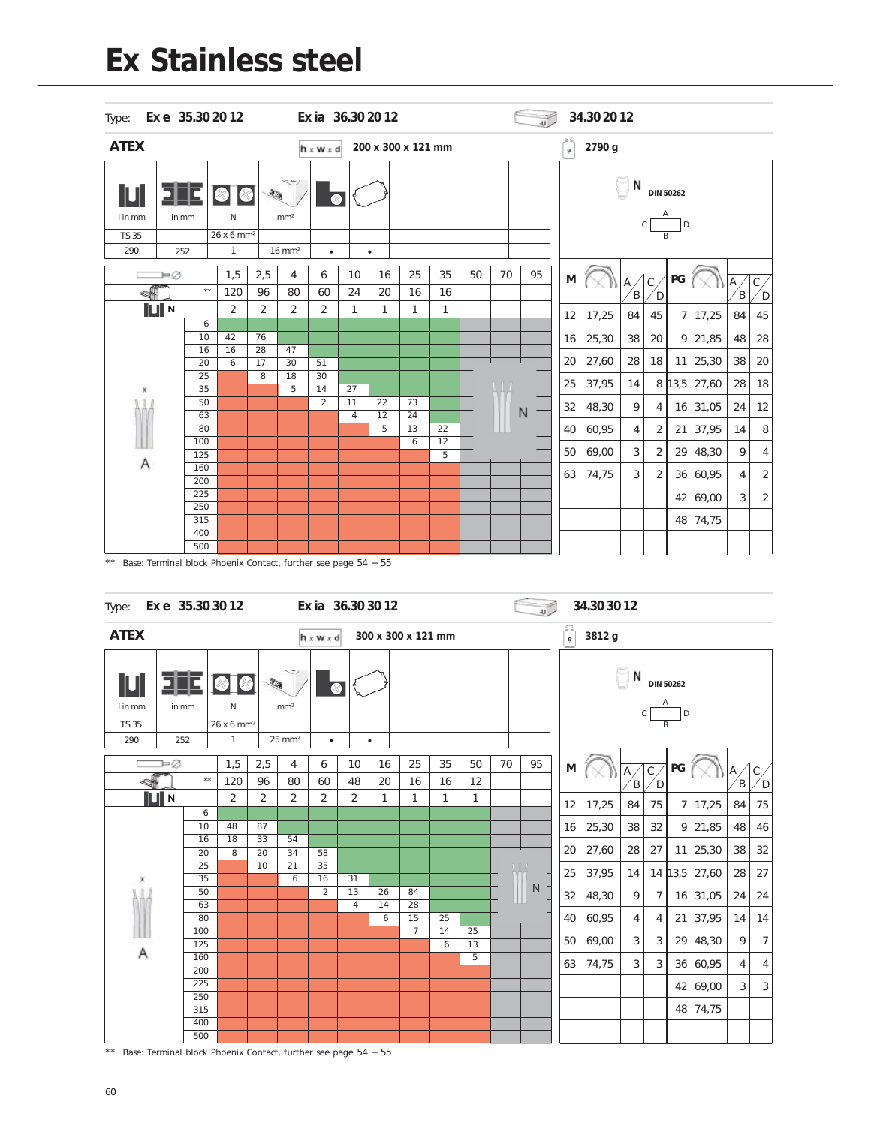| Type:                   | Exe 35.30 20 12       |                             |                |                       | Ex ia 36.30 20 12                                |                   |              |                    |                  |              |    |           |                  | 34.30 20 12           |            |                  |                                |                 |            |                        |
|-------------------------|-----------------------|-----------------------------|----------------|-----------------------|--------------------------------------------------|-------------------|--------------|--------------------|------------------|--------------|----|-----------|------------------|-----------------------|------------|------------------|--------------------------------|-----------------|------------|------------------------|
| <b>ATEX</b>             |                       |                             |                |                       | $\mathbf{h} \times \mathbf{W} \times \mathbf{d}$ |                   |              | 200 x 300 x 121 mm |                  |              |    |           | g                | 2790 g                |            |                  |                                |                 |            |                        |
| I in mm<br><b>TS 35</b> | in mm                 | N<br>26 x 6 mm <sup>2</sup> |                | 印度<br>mm <sup>2</sup> | $\overline{\bullet}$                             |                   |              |                    |                  |              |    |           |                  |                       | N          | <b>DIN 50262</b> | $C \overline{\qquad \qquad} D$ |                 |            |                        |
| 290                     | 252                   | 1                           |                | $16 \text{ mm}^2$     | $\bullet$                                        |                   | $\bullet$    |                    |                  |              |    |           |                  |                       |            |                  |                                |                 |            |                        |
| -1                      | r⊘                    | 1,5<br>$\star\star$<br>120  | 2,5<br>96      | 4<br>80               | 6<br>60                                          | 10<br>24          | 16<br>20     | 25<br>16           | 35<br>16         | 50           | 70 | 95        | M                |                       | B          | С<br>΄D          | $PG$                           |                 | Α<br>Έ     | C<br>$\sqrt{D}$        |
|                         | ILI N                 | 2                           | 2              | 2                     | 2                                                | 1                 | 1            | 1                  | 1                |              |    |           | 12               | 17,25                 | 84         | 45               |                                | 7 17,25         | 84         | 45                     |
|                         | 6<br>10               | 42                          | 76             |                       |                                                  |                   |              |                    |                  |              |    |           | 16               | 25,30                 | 38         | 20               |                                | $9$   21,85     | 48         | 28                     |
|                         | 16<br>20              | 16<br>6                     | 28<br>17       | 47<br>30              |                                                  |                   |              |                    |                  |              |    |           | 20               | 27,60                 | 28         | 18               | 11                             | 25,30           | 38         | 20                     |
|                         | 25                    |                             | 8              | 18                    | 51<br>30                                         |                   |              |                    |                  |              |    |           |                  |                       |            |                  |                                |                 |            |                        |
|                         | 35<br>50              |                             |                | 5                     | 14<br>$\overline{c}$                             | 27<br>11          | 22           | 73                 |                  |              | МA |           | 25               | 37,95                 | 14         |                  | 8 13,5                         | 27,60           | 28         | 18                     |
|                         | 63                    |                             |                |                       |                                                  | $\overline{4}$    | 12           | 24                 |                  |              |    | N         | 32               | 48,30                 | 9          | 4                | 16                             | 31,05           | 24         | 12                     |
|                         | 80<br>100             |                             |                |                       |                                                  |                   | 5            | 13<br>6            | 22<br>12         |              |    |           | 40               | 60,95                 | 4          | 2                | 21                             | 37,95           | 14         | 8                      |
| Α                       | 125<br>160            |                             |                |                       |                                                  |                   |              |                    | 5                |              |    |           | 50               | 69,00                 | 3          | 2                |                                | 29 48,30        | 9          | 4                      |
|                         | 200                   |                             |                |                       |                                                  |                   |              |                    |                  |              |    |           | 63               | 74,75                 | 3          | 2                |                                | 36 60,95        | 4          | 2                      |
|                         | 225<br>250            |                             |                |                       |                                                  |                   |              |                    |                  |              |    |           |                  |                       |            |                  |                                | 42 69,00        | 3          | $\overline{2}$         |
|                         | 315                   |                             |                |                       |                                                  |                   |              |                    |                  |              |    |           |                  |                       |            |                  |                                | 48 74,75        |            |                        |
|                         | 400<br>500            |                             |                |                       |                                                  |                   |              |                    |                  |              |    |           |                  |                       |            |                  |                                |                 |            |                        |
| Type:<br><b>ATEX</b>    | Exe 35.30 30 12       |                             |                |                       | $\mathbf{h} \times \mathbf{W} \times \mathbf{d}$ | Ex ia 36.30 30 12 |              | 300 x 300 x 121 mm |                  |              |    |           | $\boldsymbol{g}$ | 34.30 30 12<br>3812 g |            |                  |                                |                 |            |                        |
| I in mm<br><b>TS 35</b> | in mm                 |                             |                |                       |                                                  |                   |              |                    |                  |              |    |           |                  |                       |            |                  |                                |                 |            |                        |
|                         |                       | Ν                           |                | mm <sup>2</sup>       |                                                  |                   |              |                    |                  |              |    |           |                  |                       | Ν          | <b>DIN 50262</b> |                                |                 |            |                        |
| 290                     | 252                   | 26 x 6 mm <sup>2</sup><br>1 |                | $25 \, \text{mm}^2$   | $\bullet$                                        |                   | ٠            |                    |                  |              |    |           |                  |                       |            |                  |                                |                 |            |                        |
|                         | ে⇒⊘                   | 1,5                         | 2,5            | 4                     | 6                                                | 10                | 16           | 25                 | 35               | 50           | 70 | 95        | M                |                       |            | $\overline{c}$   | PG                             |                 |            | $\mathsf{C}_{\lambda}$ |
| $\frac{4}{3}$           |                       | $^{\star\star}$<br>120      | 96             | 80                    | 60                                               | 48                | 20           | 16                 | 16               | 12           |    |           |                  |                       | $\sqrt{B}$ | $\sqrt{D}$       |                                |                 | $\sqrt{B}$ | $\sigma$               |
|                         | ILI <sup>N</sup><br>6 | $\overline{2}$              | $\overline{2}$ | $\overline{2}$        | $\overline{2}$                                   | $\overline{2}$    | $\mathbf{1}$ | $\mathbf{1}$       | $\mathbf{1}$     | $\mathbf{1}$ |    |           | 12 <sup>12</sup> | 17,25                 | 84         | 75               |                                | 7 17,25         | 84         | 75                     |
|                         | 10                    | 48                          | 87             |                       |                                                  |                   |              |                    |                  |              |    |           |                  | 16 25,30              | 38         | 32               |                                | $9 \mid 21,85$  | 48         | 46                     |
|                         | 16<br>20              | 18<br>$\, 8$                | 33<br>20       | 54<br>34              | 58                                               |                   |              |                    |                  |              |    |           |                  | $20$ 27,60            | 28         | 27               |                                | $11 \mid 25,30$ | 38         | 32                     |
|                         | 25                    |                             | 10             | 21                    | 35                                               |                   |              |                    |                  |              |    | W         |                  | 25 37,95              | 14         |                  |                                | 14 13,5 27,60   | 28         | 27                     |
| X                       | 35<br>50              |                             |                | 6                     | 16<br>$\overline{a}$                             | 31<br>13          | 26           | 84                 |                  |              |    | ${\sf N}$ | 32               | 48,30                 | 9          | 7                |                                | 16 31,05        | 24         | 24                     |
|                         | 63<br>80              |                             |                |                       |                                                  | $\sqrt{4}$        | 14<br>6      | 28<br>15           | 25               |              |    |           |                  | 40 60,95              | 4          | 4                |                                | 21 37,95        | 14         | 14                     |
|                         | 100                   |                             |                |                       |                                                  |                   |              | $\overline{7}$     | 14               | 25           |    |           |                  |                       |            |                  |                                |                 |            |                        |
| Α                       | 125<br>160            |                             |                |                       |                                                  |                   |              |                    | $\boldsymbol{6}$ | 13<br>5      |    |           | 50               | 69,00                 | 3          | 3                |                                | 29 48,30        | 9          | $\overline{7}$         |
|                         | 200<br>225            |                             |                |                       |                                                  |                   |              |                    |                  |              |    |           | 63               | 74,75                 | 3          | 3                |                                | 36 60,95        | 4          | 4                      |
|                         | 250                   |                             |                |                       |                                                  |                   |              |                    |                  |              |    |           |                  |                       |            |                  |                                | 42 69,00        | 3          | 3                      |
|                         | 315<br>400            |                             |                |                       |                                                  |                   |              |                    |                  |              |    |           |                  |                       |            |                  |                                | 48 74,75        |            |                        |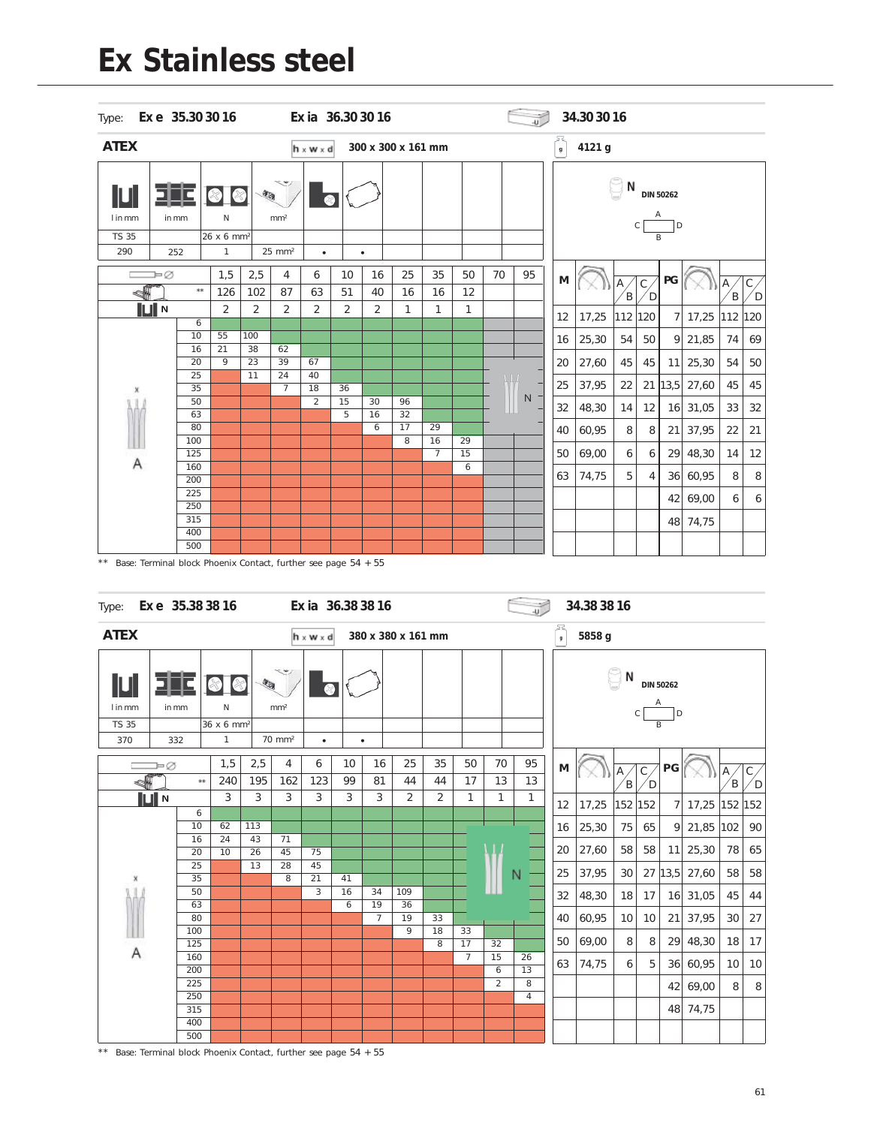| Type:                   | Exe 35.30 30 16 |                                     |                      |                      | Ex ia 36.30 30 16                          |          |                |                      |                      |                    |                    | J                  |                  | 34.30 30 16           |                    |                                                               |                |                 |                   |                     |
|-------------------------|-----------------|-------------------------------------|----------------------|----------------------|--------------------------------------------|----------|----------------|----------------------|----------------------|--------------------|--------------------|--------------------|------------------|-----------------------|--------------------|---------------------------------------------------------------|----------------|-----------------|-------------------|---------------------|
| <b>ATEX</b>             |                 |                                     |                      |                      | $h \times W \times d$                      |          |                | 300 x 300 x 161 mm   |                      |                    |                    |                    | $\boldsymbol{g}$ | 4121 g                |                    |                                                               |                |                 |                   |                     |
| I in mm<br><b>TS 35</b> | in mm           | Ν<br>26 x 6 mm <sup>2</sup>         | $\partial\mathbb{D}$ | mm <sup>2</sup>      | $\overline{\bullet}$                       |          |                |                      |                      |                    |                    |                    |                  |                       | E<br>Ν             | <b>DIN 50262</b><br>$C \frac{A}{B} D$                         |                |                 |                   |                     |
| 290                     | 252             | $\mathbf{1}$                        |                      | $25$ mm <sup>2</sup> | $\bullet$                                  |          | $\bullet$      |                      |                      |                    |                    |                    |                  |                       |                    |                                                               |                |                 |                   |                     |
| ÞØ                      |                 | 1,5                                 | 2,5                  | 4                    | 6                                          | 10       | 16             | 25                   | 35                   | 50                 | 70                 | 95                 | M                |                       |                    |                                                               | PG             |                 |                   |                     |
| ≼₩                      | $\star\star$    | 126                                 | 102                  | 87                   | 63                                         | 51       | 40             | 16                   | 16                   | 12                 |                    |                    |                  |                       | A<br>$\mathsf{B}'$ | $\mathsf{C}_{\lambda}$<br>∕D                                  |                |                 | Α<br>$\mathsf{B}$ | $\mathsf{C}$<br>/ D |
| <b>ILI</b> N            |                 | $\overline{2}$                      | $\overline{2}$       | 2                    | $\overline{2}$                             | 2        | 2              | 1                    | 1                    | $\mathbf{1}$       |                    |                    | 12               | 17,25                 | 112 120            |                                                               | 7 <sup>1</sup> | 17,25           | 112 120           |                     |
|                         | 6<br>10         | 55                                  | 100                  |                      |                                            |          |                |                      |                      |                    |                    |                    | 16               | 25,30                 | 54                 | 50                                                            | 9              | 21,85           | 74                | 69                  |
|                         | 16              | 21<br>9                             | 38                   | 62<br>39             |                                            |          |                |                      |                      |                    |                    |                    |                  |                       |                    |                                                               |                |                 |                   |                     |
|                         | 20<br>25        |                                     | 23<br>11             | 24                   | 67<br>40                                   |          |                |                      |                      |                    |                    |                    | 20               | 27,60                 | 45                 | 45                                                            | 11             | 25,30           | 54                | 50                  |
|                         | 35<br>50        |                                     |                      | $\overline{7}$       | 18                                         | 36       |                |                      |                      |                    |                    | N                  | 25               | 37,95                 | 22                 | 21                                                            | 13,5           | 27,60           | 45                | 45                  |
|                         | 63              |                                     |                      |                      | $\overline{c}$                             | 15<br>5  | 30<br>16       | 96<br>32             |                      |                    |                    |                    | 32               | 48,30                 | 14                 | 12                                                            | 16             | 31,05           | 33                | 32                  |
|                         | 80              |                                     |                      |                      |                                            |          | 6              | 17                   | 29                   |                    |                    |                    | 40               | 60,95                 | 8                  | 8                                                             | 21             | 37,95           | 22                | 21                  |
|                         | 100<br>125      |                                     |                      |                      |                                            |          |                | 8                    | 16<br>$\overline{7}$ | 29<br>15           |                    |                    | 50               | 69,00                 | 6                  | 6                                                             | 29             | 48,30           | 14                | 12                  |
| Α                       | 160             |                                     |                      |                      |                                            |          |                |                      |                      | 6                  |                    |                    | 63               | 74,75                 | 5                  | 4                                                             | 36             | 60,95           | 8                 | 8                   |
|                         | 200<br>225      |                                     |                      |                      |                                            |          |                |                      |                      |                    |                    |                    |                  |                       |                    |                                                               |                | 42 69,00        | 6                 | 6                   |
|                         | 250             |                                     |                      |                      |                                            |          |                |                      |                      |                    |                    |                    |                  |                       |                    |                                                               |                |                 |                   |                     |
|                         | 315<br>400      |                                     |                      |                      |                                            |          |                |                      |                      |                    |                    |                    |                  |                       |                    |                                                               |                | 48 74,75        |                   |                     |
|                         | 500             |                                     |                      |                      |                                            |          |                |                      |                      |                    |                    |                    |                  |                       |                    |                                                               |                |                 |                   |                     |
| Type:<br>ATEX           | Exe 35.383816   |                                     |                      |                      | Ex ia 36.38 38 16<br>$h \times W \times d$ |          |                | 380 x 380 x 161 mm   |                      |                    |                    |                    | $\boldsymbol{9}$ | 34.38 38 16<br>5858 g |                    |                                                               |                |                 |                   |                     |
| I in mm<br><b>TS 35</b> | in mm           | ${\sf N}$<br>36 x 6 mm <sup>2</sup> | 和海                   | mm <sup>2</sup>      | $\overline{\bullet}$                       |          |                |                      |                      |                    |                    |                    |                  |                       | Ν                  | <b>DIN 50262</b><br>$\begin{array}{c}\nA \\ C\n\end{array}$ D |                |                 |                   |                     |
| 370                     | 332             | $\mathbf{1}$                        |                      | 70 mm <sup>2</sup>   | $\bullet$                                  |          | $\bullet$      |                      |                      |                    |                    |                    |                  |                       |                    |                                                               |                |                 |                   |                     |
| ਿ⇒⊘                     |                 | 1,5                                 | 2,5                  | 4                    | 6                                          | 10       | 16             | 25                   | 35                   | 50                 | 70                 | 95                 | M                |                       |                    | $\mathsf{C}$                                                  | $\mathsf{PG}$  |                 |                   | $\mathsf{C}$        |
| 40<br><b>LUI</b> N      | $^{\star\star}$ | 240<br>$\mathbf{3}$                 | 195<br>$\mathbf{3}$  | 162<br>$\mathbf{3}$  | 123<br>3                                   | 99<br>3  | 81<br>3        | 44<br>$\overline{2}$ | 44<br>$\overline{2}$ | 17<br>$\mathbf{1}$ | 13<br>$\mathbf{1}$ | 13<br>$\mathbf{1}$ |                  |                       | $\angle$ B         | /D                                                            |                |                 | Έ                 | /D                  |
|                         | 6               |                                     |                      |                      |                                            |          |                |                      |                      |                    |                    |                    |                  | $12 \mid 17,25$       | 152 152            |                                                               |                | 7 17,25 152 152 |                   |                     |
|                         | 10              | 62                                  | 113                  |                      |                                            |          |                |                      |                      |                    |                    |                    | 16               | 25,30                 | 75                 | 65                                                            |                | $9$ 21,85 102   |                   | 90                  |
|                         | 16<br>20        | 24<br>10                            | 43<br>26             | 71<br>45             | 75                                         |          |                |                      |                      |                    |                    |                    |                  | $20$ 27,60            | 58                 | 58                                                            |                | $11 \mid 25,30$ |                   | 78 65               |
|                         | 25              |                                     | 13                   | 28                   | 45                                         |          |                |                      |                      |                    |                    |                    |                  | 25 37,95              | 30                 | 27                                                            | 13,5           | 27,60           | 58                | 58                  |
|                         | 35<br>50        |                                     |                      | 8                    | 21<br>3                                    | 41<br>16 | 34             | 109                  |                      |                    |                    |                    | 32               | 48,30                 | 18                 | 17                                                            |                | 16 31,05        | 45                | 44                  |
|                         | 63              |                                     |                      |                      |                                            | 6        | 19             | 36                   |                      |                    |                    |                    |                  |                       |                    |                                                               |                |                 |                   |                     |
|                         | 80<br>100       |                                     |                      |                      |                                            |          | $\overline{7}$ | 19<br>9              | 33<br>18             | 33                 |                    |                    | 40               | 60,95                 | 10                 | 10                                                            |                | 21 37,95        | 30                | 27                  |
| Α                       | 125             |                                     |                      |                      |                                            |          |                |                      | 8                    | 17                 | 32                 |                    | 50               | 69,00                 | 8                  | 8                                                             |                | 29 48,30        | 18                | 17                  |
|                         | 160<br>200      |                                     |                      |                      |                                            |          |                |                      |                      | $\overline{7}$     | 15<br>6            | 26<br>13           | 63               | 74,75                 | 6                  | 5                                                             |                | 36 60,95        | 10 <sup>1</sup>   | 10                  |
|                         | 225             |                                     |                      |                      |                                            |          |                |                      |                      |                    | $\overline{2}$     | 8                  |                  |                       |                    |                                                               |                | 42 69,00        | 8                 | 8                   |
|                         | 250<br>315      |                                     |                      |                      |                                            |          |                |                      |                      |                    |                    | $\overline{4}$     |                  |                       |                    |                                                               |                | 48 74,75        |                   |                     |
|                         | 400<br>500      |                                     |                      |                      |                                            |          |                |                      |                      |                    |                    |                    |                  |                       |                    |                                                               |                |                 |                   |                     |
|                         |                 |                                     |                      |                      |                                            |          |                |                      |                      |                    |                    |                    |                  |                       |                    |                                                               |                |                 |                   |                     |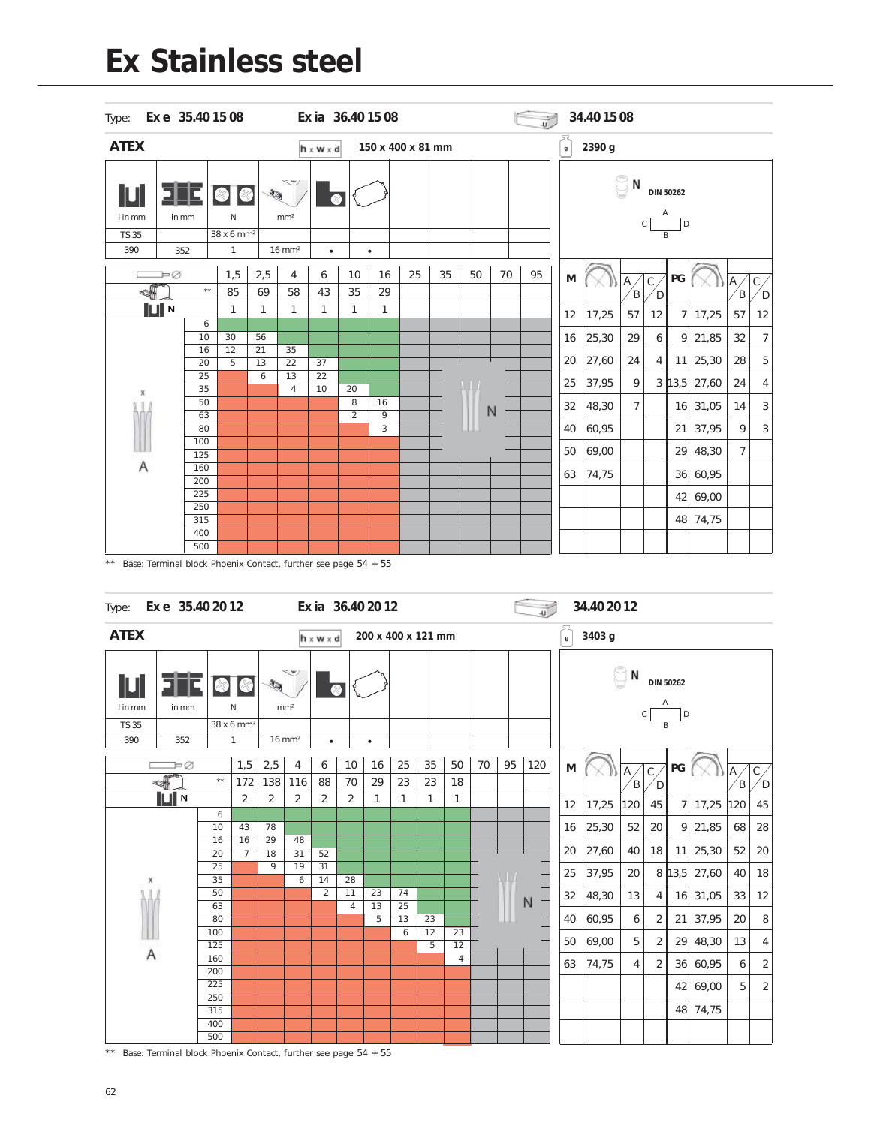| Type: Ex e 35.40 15 08                                            |                  |              |                               |              |                                  | Ex ia 36.40 15 08     |                |              |              |                    |                      |       |    |     |                                                                           | 34.401508   |                    |                  |        |            |                  |                  |
|-------------------------------------------------------------------|------------------|--------------|-------------------------------|--------------|----------------------------------|-----------------------|----------------|--------------|--------------|--------------------|----------------------|-------|----|-----|---------------------------------------------------------------------------|-------------|--------------------|------------------|--------|------------|------------------|------------------|
| <b>ATEX</b>                                                       |                  |              |                               |              |                                  | $h \times W \times d$ |                |              |              | 150 x 400 x 81 mm  |                      |       |    |     | $\boldsymbol{g}$                                                          | 2390 g      |                    |                  |        |            |                  |                  |
| I in mm<br><b>TS 35</b>                                           | in mm            |              | N<br>38 x 6 mm <sup>2</sup>   |              | $\frac{1}{2}$<br>mm <sup>2</sup> |                       |                |              |              |                    |                      |       |    |     | $\textcircled{\tiny{\textsf{N}}}$<br><b>DIN 50262</b><br>$C \overline{A}$ |             |                    |                  |        |            |                  |                  |
| 390                                                               | 352              |              | $\mathbf{1}$                  |              | $16 \text{ mm}^2$                | $\bullet$             |                | $\bullet$    |              |                    |                      |       |    |     |                                                                           |             |                    |                  |        |            |                  |                  |
|                                                                   | ▭∍∅              | $\star\star$ | 1,5<br>85                     | 2,5<br>69    | 4<br>58                          | 6<br>43               | 10<br>35       | 16<br>29     | 25           |                    | 35                   | 50    | 70 | 95  | M                                                                         |             |                    | С                | PG     |            | Α                | С                |
|                                                                   | IUI N            |              | 1                             | 1            | $\mathbf{1}$                     | 1                     | 1              | 1            |              |                    |                      |       |    |     | 12                                                                        | 17,25       | $\mathsf{B}$<br>57 | ∕ D<br>12        | 7      | 17,25      | $\sqrt{B}$<br>57 | $\sqrt{D}$<br>12 |
|                                                                   |                  | 6<br>10      | 30                            | 56           |                                  |                       |                |              |              |                    |                      |       |    |     | 16                                                                        | 25,30       | 29                 | 6                | 9      | 21,85      | 32               | 7                |
|                                                                   |                  | 16           | 12                            | 21           | 35                               |                       |                |              |              |                    |                      |       |    |     | 20                                                                        | 27,60       | 24                 | 4                | 11     | 25,30      | 28               | 5                |
|                                                                   |                  | 20<br>25     | 5                             | 13<br>6      | 22<br>13                         | 37<br>22              |                |              |              |                    |                      |       |    |     | 25                                                                        | 37,95       | 9                  |                  | 3 13,5 | 27,60      | 24               | 4                |
|                                                                   |                  | 35<br>50     |                               |              | $\overline{4}$                   | 10                    | 20<br>8        | 16           |              |                    |                      | L L L |    |     | 32                                                                        | 48,30       | 7                  |                  |        | $16$ 31,05 | 14               | 3                |
|                                                                   |                  | 63<br>80     |                               |              |                                  |                       | $\overline{a}$ | 9<br>3       |              |                    |                      | N     |    |     | 40                                                                        | 60,95       |                    |                  | 21     | 37,95      | 9                | 3                |
|                                                                   |                  | 100          |                               |              |                                  |                       |                |              |              |                    |                      |       |    |     | 50                                                                        | 69,00       |                    |                  |        | 29 48,30   | $\overline{7}$   |                  |
| Α                                                                 |                  | 125<br>160   |                               |              |                                  |                       |                |              |              |                    |                      |       |    |     | 63                                                                        | 74,75       |                    |                  |        | 36 60,95   |                  |                  |
|                                                                   |                  | 200<br>225   |                               |              |                                  |                       |                |              |              |                    |                      |       |    |     |                                                                           |             |                    |                  |        | 42 69,00   |                  |                  |
|                                                                   |                  | 250          |                               |              |                                  |                       |                |              |              |                    |                      |       |    |     |                                                                           |             |                    |                  |        | 48 74,75   |                  |                  |
|                                                                   |                  | 315<br>400   |                               |              |                                  |                       |                |              |              |                    |                      |       |    |     |                                                                           |             |                    |                  |        |            |                  |                  |
| ** Base: Terminal block Phoenix Contact, further see page 54 + 55 |                  | 500          |                               |              |                                  |                       |                |              |              |                    |                      |       |    |     |                                                                           |             |                    |                  |        |            |                  |                  |
| Type:                                                             | Exe 35.40 20 12  |              |                               |              |                                  | Ex ia 36.40 20 12     |                |              |              |                    |                      |       |    |     |                                                                           | 34.40 20 12 |                    |                  |        |            |                  |                  |
| <b>ATEX</b>                                                       |                  |              |                               |              |                                  | $h \times W \times d$ |                |              |              | 200 x 400 x 121 mm |                      |       |    |     | $\boldsymbol{g}$                                                          | 3403 g      |                    |                  |        |            |                  |                  |
| I in mm<br><b>TS 35</b>                                           | in mm            |              | N<br>38 x 6 mm <sup>2</sup>   |              | 北海<br>mm <sup>2</sup>            |                       |                |              |              |                    |                      |       |    |     |                                                                           |             | Ν                  | <b>DIN 50262</b> |        |            |                  |                  |
| 390                                                               | 352              |              | $\,1\,$                       |              | $16 \text{ mm}^2$                |                       |                |              |              |                    |                      |       |    |     |                                                                           |             |                    |                  |        |            |                  |                  |
|                                                                   | ÞØ<br>4          |              | 1,5<br>$^{\star\star}$<br>172 | 2,5<br>138   | 4<br>116                         | 6<br>88               | 10<br>70       | 16<br>29     | 25<br>23     | 35<br>23           | 50<br>18             | 70    | 95 | 120 | M                                                                         |             | $\sqrt{B}$         | С                | PG     |            | Α<br>$\sqrt{B}$  | С                |
|                                                                   | ILI <sup>N</sup> |              | $\overline{2}$                | $\sqrt{2}$   | $\overline{2}$                   | $\overline{2}$        | $\overline{2}$ | $\mathbf{1}$ | $\mathbf{1}$ | $\mathbf{1}$       | 1                    |       |    |     | 12 <sup>12</sup>                                                          | 17,25       | 120                | /D<br>45         |        | 7 17,25    | 120              | $\sqrt{D}$<br>45 |
|                                                                   |                  |              | 6<br>10<br>43                 | 78           |                                  |                       |                |              |              |                    |                      |       |    |     | 16                                                                        | 25,30       | 52                 | 20               |        | 9 21,85    | 68               | 28               |
|                                                                   |                  |              | 16<br>16                      | 29           | 48                               |                       |                |              |              |                    |                      |       |    |     | 20                                                                        | 27,60       | 40                 | 18               | 11     | 25,30      | 52               | 20               |
|                                                                   |                  |              | 20<br>25                      | 18<br>7<br>9 | 31<br>19                         | 52<br>31              |                |              |              |                    |                      |       |    |     | 25                                                                        | 37,95       | 20                 |                  | 8 13,5 | 27,60      | 40               | 18               |
|                                                                   | ×                |              | 35<br>50                      |              | 6                                | 14<br>$\overline{c}$  | 28<br>11       | 23           | 74           |                    |                      |       | M  |     |                                                                           |             |                    |                  |        |            |                  |                  |
|                                                                   |                  |              | 63<br>80                      |              |                                  |                       | $\overline{4}$ | 13           | 25           |                    |                      |       |    | Ν   | 32                                                                        | 48,30       | 13                 | 4                |        | $16$ 31,05 | 33               | 12               |
|                                                                   |                  | 100          |                               |              |                                  |                       |                | 5            | 13<br>6      | 23<br>12           | 23                   |       |    |     | 40                                                                        | 60,95       | 6                  | 2                | 21     | 37,95      | 20               | 8                |
|                                                                   | Α                | 125<br>160   |                               |              |                                  |                       |                |              |              | 5                  | 12<br>$\overline{4}$ |       |    |     | 50                                                                        | 69,00       | 5                  | 2                |        | 29 48,30   | 13               | 4                |
|                                                                   |                  | 200<br>225   |                               |              |                                  |                       |                |              |              |                    |                      |       |    |     | 63                                                                        | 74,75       | 4                  | 2                |        | 36 60,95   | 6                | $\sqrt{2}$       |
|                                                                   |                  | 250          |                               |              |                                  |                       |                |              |              |                    |                      |       |    |     |                                                                           |             |                    |                  |        | 42 69,00   | 5                | $\overline{2}$   |
|                                                                   |                  | 315<br>400   |                               |              |                                  |                       |                |              |              |                    |                      |       |    |     |                                                                           |             |                    |                  |        | 48 74,75   |                  |                  |
|                                                                   |                  | 500          |                               |              |                                  |                       |                |              |              |                    |                      |       |    |     |                                                                           |             |                    |                  |        |            |                  |                  |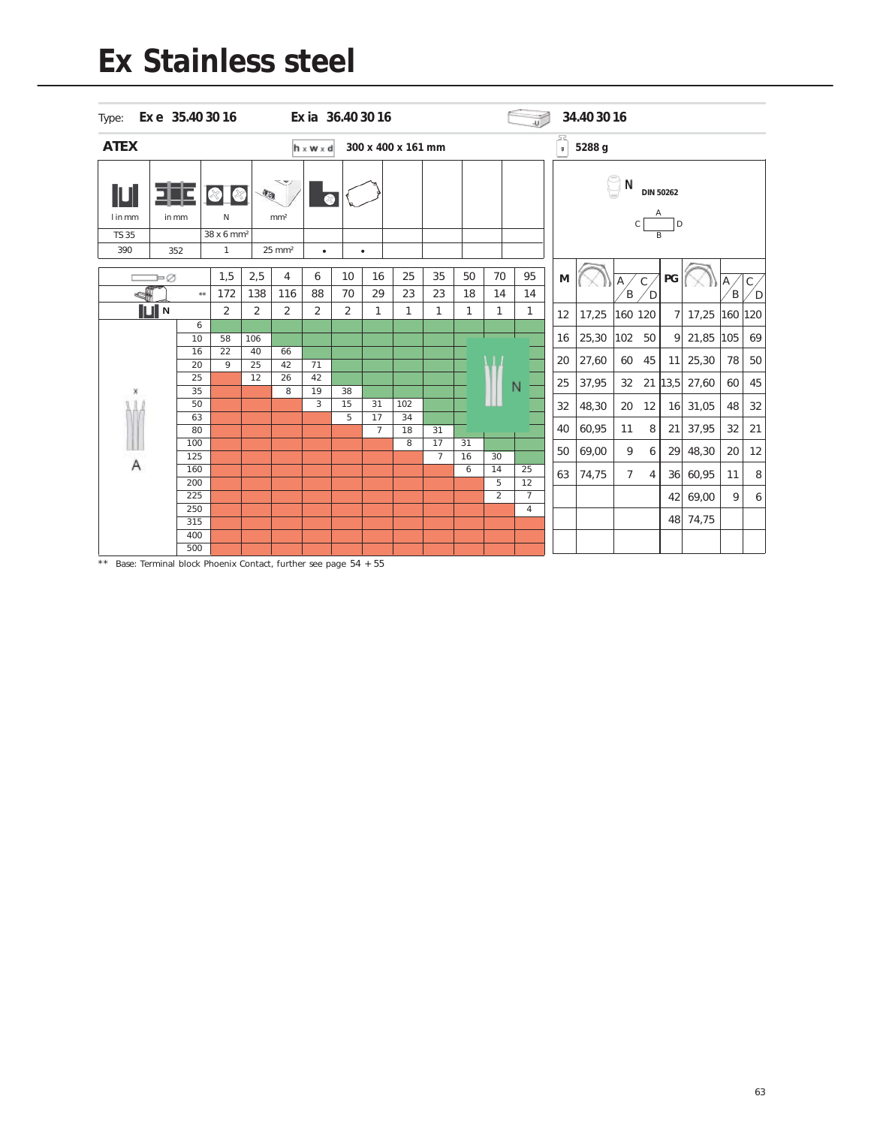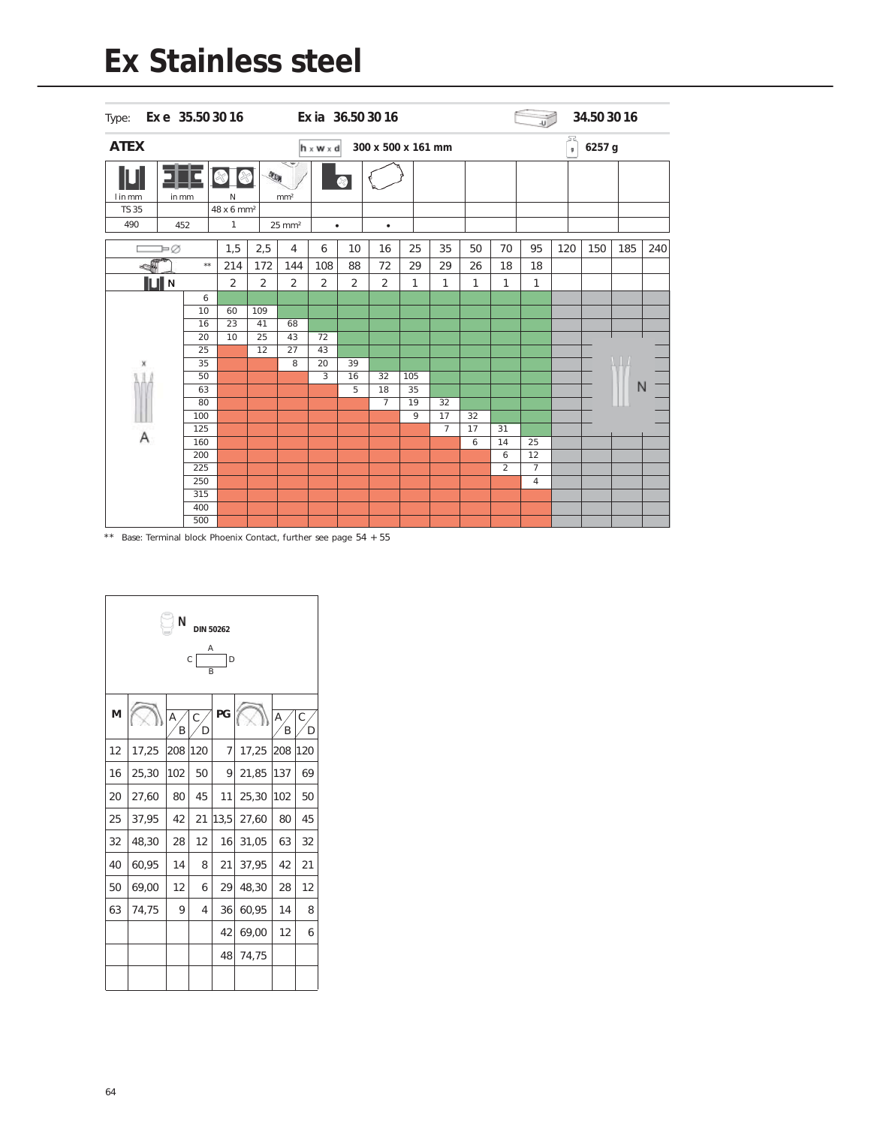| Type: Ex e 35.50 30 16 Ex ia 36.50 30 16 |   |       |              |                        |                |                       |                       |                |                    |     |                |              |                |                |     | 34.50 30 16       |     |     |
|------------------------------------------|---|-------|--------------|------------------------|----------------|-----------------------|-----------------------|----------------|--------------------|-----|----------------|--------------|----------------|----------------|-----|-------------------|-----|-----|
| <b>ATEX</b>                              |   |       |              |                        |                |                       | $h \times W \times d$ |                | 300 x 500 x 161 mm |     |                |              |                |                |     | $\sqrt{9}$ 6257 g |     |     |
| I in mm                                  |   | in mm |              | Ν                      | $\partial$ la  | رپ<br>mm <sup>2</sup> |                       |                |                    |     |                |              |                |                |     |                   |     |     |
| <b>TS 35</b>                             |   |       |              | 48 x 6 mm <sup>2</sup> |                |                       |                       |                |                    |     |                |              |                |                |     |                   |     |     |
| 490                                      |   | 452   |              | $\mathbf{1}$           |                | $25 \, \text{mm}^2$   | $\bullet$             |                | $\bullet$          |     |                |              |                |                |     |                   |     |     |
|                                          |   | ÞØ    |              | 1,5                    | 2,5            | 4                     | 6                     | 10             | 16                 | 25  | 35             | 50           | 70             | 95             | 120 | 150               | 185 | 240 |
|                                          |   |       | $\star\star$ | 214                    | 172            | 144                   | 108                   | 88             | 72                 | 29  | 29             | 26           | 18             | 18             |     |                   |     |     |
|                                          |   | N     |              | $\overline{2}$         | $\overline{2}$ | $\overline{2}$        | $\overline{2}$        | $\overline{2}$ | $\overline{2}$     | 1   | 1              | $\mathbf{1}$ | $\mathbf{1}$   | $\mathbf{1}$   |     |                   |     |     |
|                                          |   |       | 6            |                        |                |                       |                       |                |                    |     |                |              |                |                |     |                   |     |     |
|                                          |   |       | 10           | 60                     | 109            |                       |                       |                |                    |     |                |              |                |                |     |                   |     |     |
|                                          |   |       | 16           | 23                     | 41             | 68                    |                       |                |                    |     |                |              |                |                |     |                   |     |     |
|                                          |   |       | 20           | 10                     | 25             | 43                    | 72                    |                |                    |     |                |              |                |                |     |                   |     |     |
|                                          |   |       | 25           |                        | 12             | 27                    | 43                    |                |                    |     |                |              |                |                |     |                   |     |     |
|                                          | x |       | 35           |                        |                | 8                     | 20                    | 39             |                    |     |                |              |                |                |     |                   |     |     |
|                                          |   |       | 50           |                        |                |                       | $\overline{3}$        | 16             | 32                 | 105 |                |              |                |                |     |                   |     |     |
|                                          |   |       | 63           |                        |                |                       |                       | 5              | 18                 | 35  |                |              |                |                |     |                   | N   |     |
|                                          |   |       | 80           |                        |                |                       |                       |                | $\overline{7}$     | 19  | 32             |              |                |                |     |                   |     |     |
|                                          |   |       | 100          |                        |                |                       |                       |                |                    | 9   | 17             | 32           |                |                |     |                   |     |     |
|                                          | Α |       | 125          |                        |                |                       |                       |                |                    |     | $\overline{7}$ | 17           | 31             |                |     |                   |     |     |
|                                          |   |       | 160          |                        |                |                       |                       |                |                    |     |                | 6            | 14             | 25             |     |                   |     |     |
|                                          |   |       | 200          |                        |                |                       |                       |                |                    |     |                |              | 6              | 12             |     |                   |     |     |
|                                          |   |       | 225          |                        |                |                       |                       |                |                    |     |                |              | $\mathfrak{D}$ | $\overline{7}$ |     |                   |     |     |
|                                          |   |       | 250          |                        |                |                       |                       |                |                    |     |                |              |                | $\overline{4}$ |     |                   |     |     |
|                                          |   |       | 315          |                        |                |                       |                       |                |                    |     |                |              |                |                |     |                   |     |     |
|                                          |   |       | 400          |                        |                |                       |                       |                |                    |     |                |              |                |                |     |                   |     |     |
|                                          |   |       | 500          |                        |                |                       |                       |                |                    |     |                |              |                |                |     |                   |     |     |

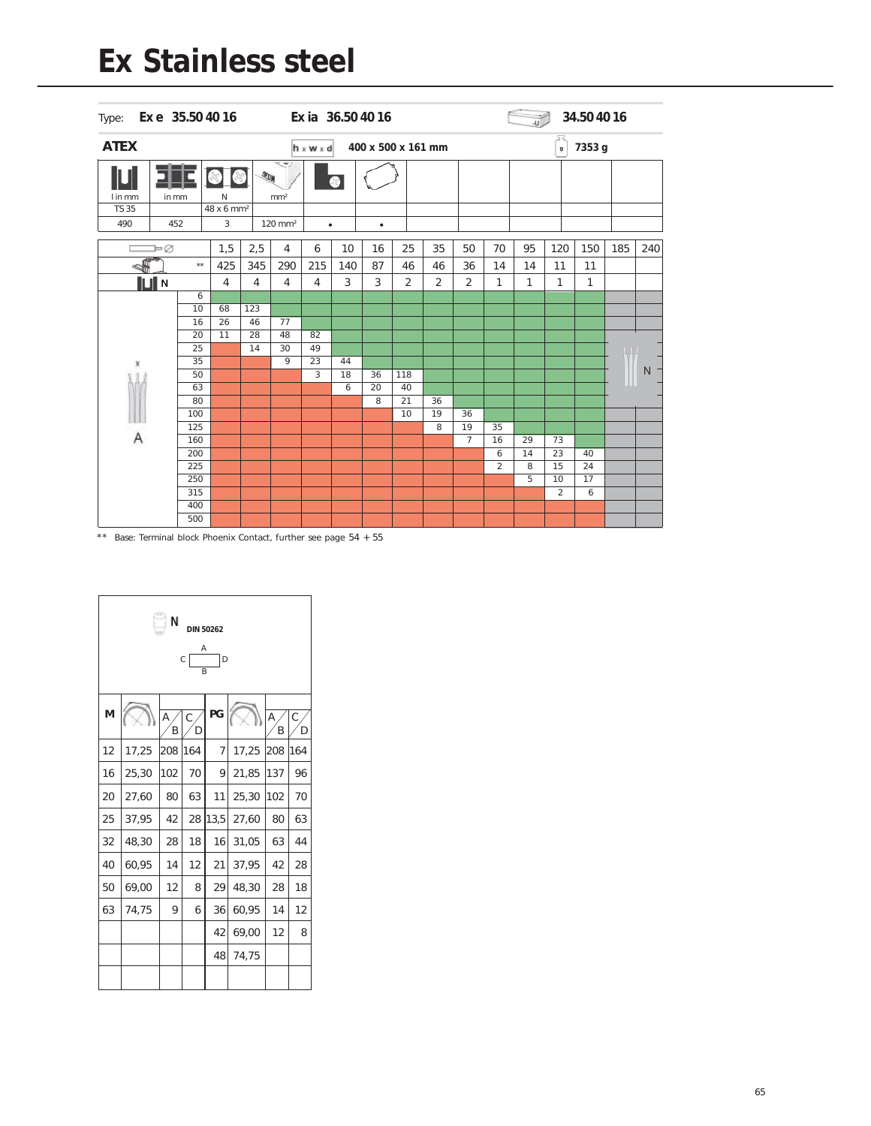| Type: Ex e 35.50 40 16 |       |      |                        |                |                       |                       |     | Ex ia 36.50 40 16 |     |                    |                |              |              |                | 34.50 40 16  |     |     |
|------------------------|-------|------|------------------------|----------------|-----------------------|-----------------------|-----|-------------------|-----|--------------------|----------------|--------------|--------------|----------------|--------------|-----|-----|
| <b>ATEX</b>            |       |      |                        |                |                       | $h \times W \times d$ |     |                   |     | 400 x 500 x 161 mm |                |              |              | $\mathbf{g}$   | 7353 g       |     |     |
| I in mm                | in mm |      | N                      | <b>FLOR</b>    | رپ<br>mm <sup>2</sup> |                       |     |                   |     |                    |                |              |              |                |              |     |     |
| <b>TS 35</b>           |       |      | 48 x 6 mm <sup>2</sup> |                |                       |                       |     |                   |     |                    |                |              |              |                |              |     |     |
| 490                    | 452   |      | 3                      |                | 120 mm <sup>2</sup>   | $\bullet$             |     | $\bullet$         |     |                    |                |              |              |                |              |     |     |
|                        | ÞØ    |      | 1,5                    | 2,5            | 4                     | 6                     | 10  | 16                | 25  | 35                 | 50             | 70           | 95           | 120            | 150          | 185 | 240 |
|                        |       | $**$ | 425                    | 345            | 290                   | 215                   | 140 | 87                | 46  | 46                 | 36             | 14           | 14           | 11             | 11           |     |     |
|                        | N     |      | 4                      | $\overline{4}$ | $\overline{4}$        | $\overline{4}$        | 3   | 3                 | 2   | $\overline{2}$     | $\overline{2}$ | $\mathbf{1}$ | $\mathbf{1}$ | $\mathbf{1}$   | $\mathbf{1}$ |     |     |
|                        |       | 6    |                        |                |                       |                       |     |                   |     |                    |                |              |              |                |              |     |     |
|                        |       | 10   | 68                     | 123            |                       |                       |     |                   |     |                    |                |              |              |                |              |     |     |
|                        |       | 16   | 26                     | 46             | 77                    |                       |     |                   |     |                    |                |              |              |                |              |     |     |
|                        |       | 20   | 11                     | 28             | 48                    | 82                    |     |                   |     |                    |                |              |              |                |              |     |     |
|                        |       | 25   |                        | 14             | 30                    | 49                    |     |                   |     |                    |                |              |              |                |              | МA  |     |
| x                      |       | 35   |                        |                | 9                     | 23                    | 44  |                   |     |                    |                |              |              |                |              |     |     |
|                        |       | 50   |                        |                |                       | 3                     | 18  | 36                | 118 |                    |                |              |              |                |              |     | N   |
|                        |       | 63   |                        |                |                       |                       | 6   | 20                | 40  |                    |                |              |              |                |              |     |     |
|                        |       | 80   |                        |                |                       |                       |     | 8                 | 21  | 36                 |                |              |              |                |              |     |     |
|                        |       | 100  |                        |                |                       |                       |     |                   | 10  | 19                 | 36             |              |              |                |              |     |     |
|                        |       | 125  |                        |                |                       |                       |     |                   |     | 8                  | 19             | 35           |              |                |              |     |     |
| Α                      |       | 160  |                        |                |                       |                       |     |                   |     |                    | $7^{\circ}$    | 16           | 29           | 73             |              |     |     |
|                        |       | 200  |                        |                |                       |                       |     |                   |     |                    |                | 6            | 14           | 23             | 40           |     |     |
|                        |       | 225  |                        |                |                       |                       |     |                   |     |                    |                | 2            | 8            | 15             | 24           |     |     |
|                        |       | 250  |                        |                |                       |                       |     |                   |     |                    |                |              | 5            | 10             | 17           |     |     |
|                        |       | 315  |                        |                |                       |                       |     |                   |     |                    |                |              |              | $\mathfrak{D}$ | 6            |     |     |
|                        |       | 400  |                        |                |                       |                       |     |                   |     |                    |                |              |              |                |              |     |     |
|                        |       | 500  |                        |                |                       |                       |     |                   |     |                    |                |              |              |                |              |     |     |

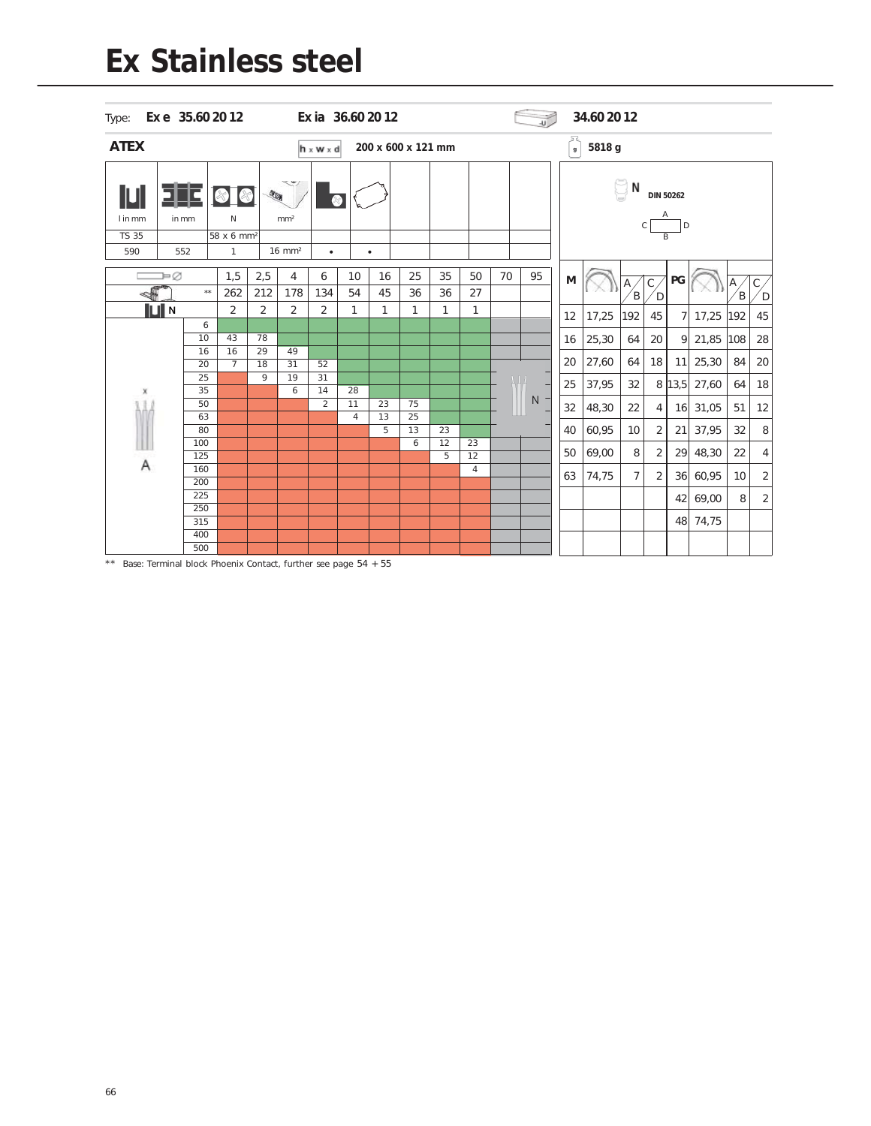